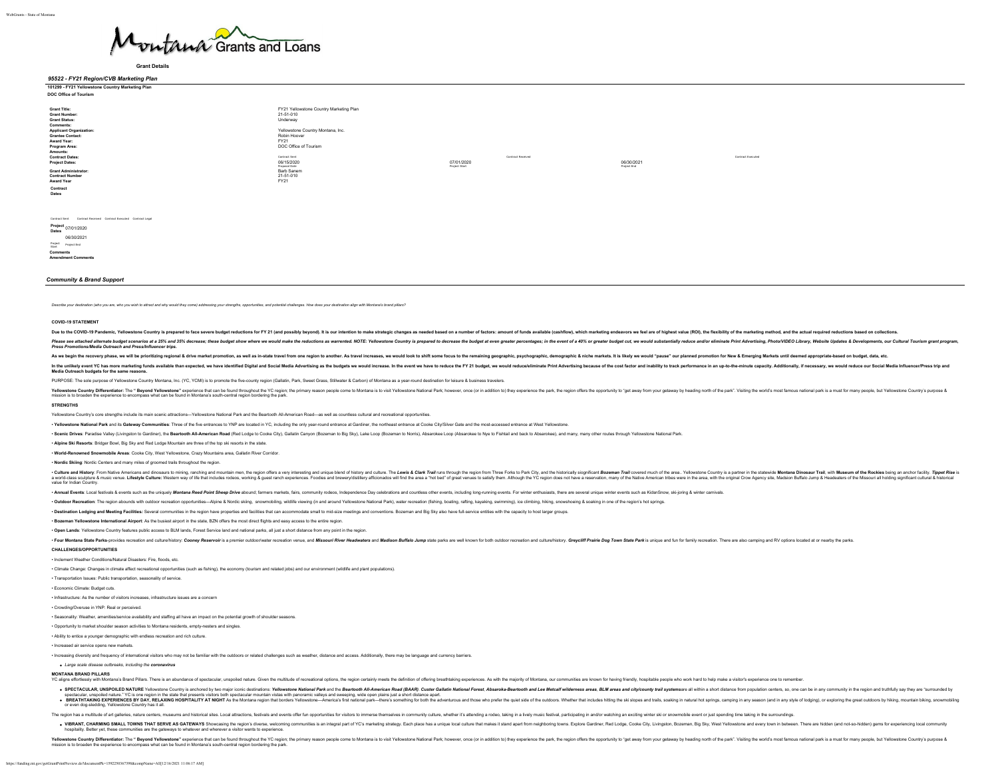

**Grant Details**

### *95522 - FY21 Region/CVB Marketing Plan* **101299 - FY21 Yellowstone Country Marketing Plan**

| DOC Office of Tourism                                                                                                                                                                                                                                                                                                                    |                                                                                                                                                                                                                                           |                             |                   |                           |                   |
|------------------------------------------------------------------------------------------------------------------------------------------------------------------------------------------------------------------------------------------------------------------------------------------------------------------------------------------|-------------------------------------------------------------------------------------------------------------------------------------------------------------------------------------------------------------------------------------------|-----------------------------|-------------------|---------------------------|-------------------|
| <b>Grant Title:</b><br>Grant Number:<br><b>Grant Status:</b><br>Comments:<br><b>Applicant Organization:</b><br><b>Grantee Contact:</b><br>Award Year:<br>Program Area:<br>Amounts:<br><b>Contract Dates:</b><br><b>Project Dates:</b><br><b>Grant Administrator:</b><br><b>Contract Number</b><br><b>Award Year</b><br>Contract<br>Dates | FY21 Yellowstone Country Marketing Plan<br>21-51-010<br>Underway<br>Yellowstone Country Montana, Inc.<br>Robin Hoover<br>FY21<br>DOC Office of Tourism<br>Contract Sent<br>06/15/2020<br>Proposal Date<br>Barb Sanem<br>21-51-010<br>FY21 | 07/01/2020<br>Project Start | Contract Received | 06/30/2021<br>Project End | Contract Executed |

Contract Sent Contract Received Contract Executed Contract Legal

**Project Dates** 07/01/2020 06/30/2021 Project Start Project End **Comments Amendment Comments**

### *Community & Brand Support*

Describe your destination (who you are, who you wish to attract and why would they come) addressing your strengths, opportunities, and potential challenges. How does your destination align with Montana's brand pillars?

#### **COVID-19 STATEMENT**

Due to the COVID-19 Pandemic, Yellowstone Country is prepared to face severe budget reductions for FY21 (and possibly beyond). It is our intention to make strategic changes as needed based on a number of factors: amount of

Please see attached alternate budget scenarios at a 25% and 35% decrease; these budget show where we would make the reductions as warented. NOTE: Yellowstone Country is prepared to decrease the budget at even greate precen *Press Promotions/Media Outreach and Press/Influencer trips.*

As we begin the recovery phase, we will be prioritizing regional & drive market promotion, as well as in-state travel from one region to another. As travel increases, we would look to shift some focus to the remaining geog

In the unlikely event YC has more marketing funds available than expected, we have identified Digital and Social Media Advertising as the budgets we would increase. In the event we have to reduce the FY 21 budget, we would **Media Outreach budgets for the same reasons.** 

PURPOSE: The sole purpose of Yellowstone Country Montana, Inc. (YC, YCMI) is to promote the five-county region (Gallatin, Park, Sweet Grass, Stillwater & Carbon) of Montana as a year-round destination for leisure & busines

Yellows Demon and thered the man and tellowstone" experime that can be found throughout the Yellows the primary reason people come to Montana is to vial Yellowstone National Park, however, once (or in addition to the peopl

### **STRENGTHS**

Yellowstone Country's core strengths include its main scenic attractions-Yellowstone National Park and the Beartooth All-American Road-as well as countless cultural and recreational opportunities

. Yellowstone National Park and its Gateway Communities: Three of the five entrances to YNP are located in YC, including the only year-round entrance at Gardiner, the northeast entrance at Clooke City/Silver Gate and the m

. Scenic Drives: Paradise Valley (Livingston to Gardiner), the Beartooth All-American Road (Red Lodge to Cooke City), Gallstin Canyon (Bozernan to Big Sky), Lake Loop (Bozernan to Norris), Absarokee Loop (Absarokee to Nye

• **Alpine Ski Resorts**: Bridger Bowl, Big Sky and Red Lodge Mountain are three of the top ski resorts in the state.

• **World-Renowned Snowmobile Areas**: Cooke City, West Yellowstone, Crazy Mountains area, Gallatin River Corridor.

• **Nordic Skiing**: Nordic Centers and many miles of groomed trails throughout the region.

. Culture and History From Native Americans and dinosuris to mining ranching and minurisin men the region difference and unique blend of history and unique blend of history and unique blend of history and unity The Fronte -under and a materim and a material material and a material material material material material material material material material material material material material material material material material material material value for Indian Country.

. Annual Events: Local festivals & events such as the uniquely Montana Reed Point Sheep Drive abound; farmers markets, fairs, community rodeos, Independence Day celebrations and countless other events, including long-runni

. Outdoor Recreation: The region abounds with outdoor recreation opportunities-Alpine & Nordic sking, snowmobiling, wildiffe viewing (in and around Yellowstone National Park), water recreation (fishing, beating, tating, ba

. Destination Lodging and Meeting Facilities: Several communities in the region have properties and facilities that can accommodate small to mid-size meetings and conventions. Bozeman and Big Sky also have full-service ent

• **Bozeman Yellowstone International Airport**: As the busiest airport in the state, BZN offers the most direct flights and easy access to the entire region.

• **Open Lands**: Yellowstone Country features public access to BLM lands, Forest Service land and national parks, all just a short distance from any point in the region.

. Four Montana State Parks-omvides recostion and culturalistion: Conney Reservoir is a remier culturalistic prosection and and Missouri River Headwaters and Marison Ruther Montana cultural culturalistics and militaristics

#### **CHALLENGES/OPPORTUNITIES**

• Inclement Weather Conditions/Natural Disasters: Fire, floods, etc.

• Climate Change: Changes in climate affect recreational opportunities (such as fishing), the economy (tourism and related jobs) and our environment (wildlife and plant populations). • Transportation Issues: Public transportation, seasonality of service.

• Economic Climate: Budget cuts.

• Infrastructure: As the number of visitors increases, infrastructure issues are a concern

• Crowding/Overuse in YNP: Real or perceived.

• Seasonality: Weather, amenities/service availability and staffing all have an impact on the potential growth of shoulder seasons.

• Opportunity to market shoulder season activities to Montana residents, empty-nesters and singles.

• Ability to entice a younger demographic with endless recreation and rich culture.

• Increased air service opens new markets.

• Increasing diversity and frequency of international visitors who may not be familiar with the outdoors or related challenges such as weather, distance and access. Additionally, there may be language and currency barriers.

*Large scale disease outbreaks, including the coronavirus*

**MONTANA BRAND PILLARS**

ily with Montana's Brand Pillars. There is an abundance of spectacular, unspolled nature. Given the multitude of recreational options, the region certainly meets the definition of offering breathtaking experiences. As with

SPECTACULAR, UNSPOILED NATURE Yellowstone Country is anchored by two major iconic desinations: Yellowstone National Park and the Bearlooth All-American Road (BAR). Custer Gallatin National Forest, Absarbane-Barchand Hotel or even dog-sledding, Yellowstone Country has it all.

The region has a multtude of art galleries, nature centers, museums and historical sites. Local attractions, festivals and events offer fun opportunities for visitors to immerse themselves in community culture, whether it'

Yellows Deremiator: he "Beyond Yellowstone" experime that can be found throughout the VC regions to the Yellowstone National Bark; however, once (or in addition to the species the paparition by experiment the paparition of

VIBANNO SMALL TOWNS THAT SERVE AS OATEWAYS howcasing the rejoins diverse, welcoming communilies is an integral part of YC's marketing strategy. Each place has a unique local columber that makes it stand apart from neighbor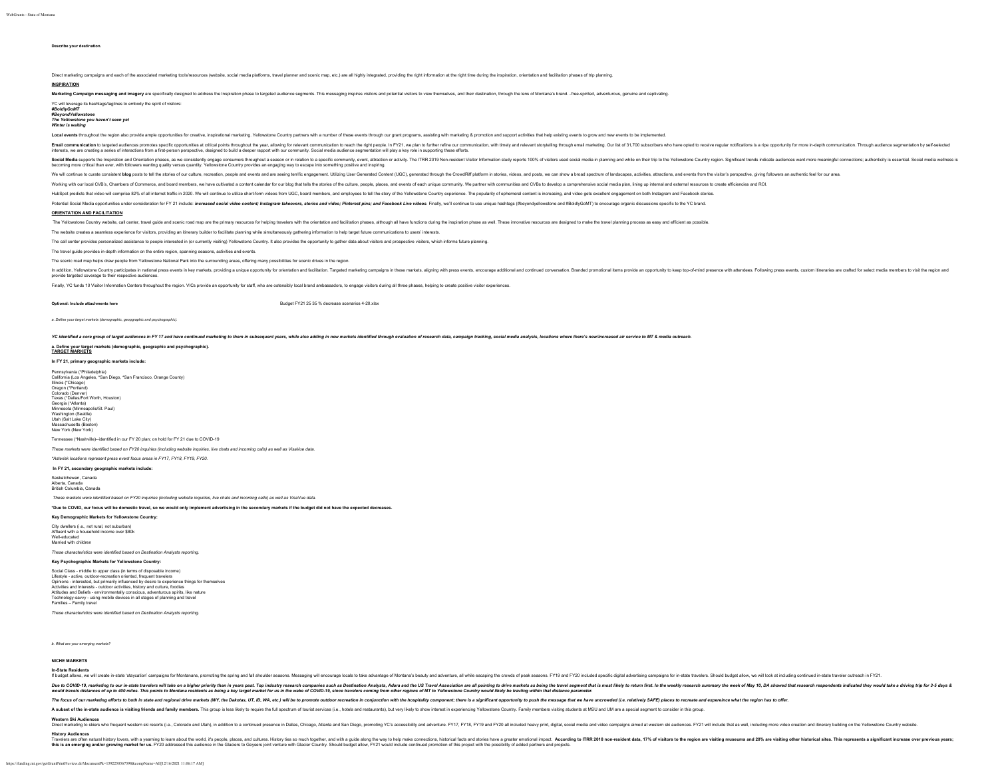**Describe your destination.** 

Direct marketing campaigns and each of the associated marketing tools/resources (website, social media platforms, travel planner and scenic map, etc.) are all highly integrated, providing the right information at the right

## **INSPIRATION**

Marketing Campaign messaging and imagery are specifically designed to address the inspiration base to targeted audience segments. This messagin inspiration collectors visitors and molential visitors and the messagin and ph

YC will leverage its hashtags/taglines to embody the spirit of visitors:

*#BoldlyGoMT* **#***BeyondYellowstone The Yellowstone you haven't seen yet*

## *Winter is waiting*

Local events throughout the region also provide ample opportunities for creative, inspirational marketing. Yellowstone Country partners with a number of these events through our grant programs, assisting with marketing & p

Email communication to targeted audiences promotes specific opportunities at critical points tratical points tratical points throughout the year, allowing for relevant communication to each the right propel. In FY1, we pla interests, we are creating a series of interactions from a first-person perspective, designed to build a deeper rapport with our community. Social media audience segmentation will play a key role in supporting these efforts.

Souther inspiration and Orientation phase as we consistrily regage consumer through a seson in relation main proper in content in the relation proper and the the sesential produce in a subsection in the Vental Social media

We will continue to curate consistent blog posts to lell the stories of our culture, recreation, people and events and are seeing terrific engagement. Utilizing User Generated Content (UGC), generated through the CrowdRiff

Working with our local CVB's, Chambers of Commerce, and board members, we have cultivated a content calendar for our blog that tells the stories of the culture, people, places, and events of each unique community. We partn

HubSoot predicts that video will comprise 82% of all internet traffic in 2020. We will continue to utilize short-form videos from UGC, board members, and employees to tell the story of the Yellowstone Country experience. T

Potential Social Media opportunities under consideration for FY 21 include: increased social video content; Instagram takeovers, stories and video; Pinterest plins; and Facebook Live videos. Finally, we'll continue to use

### **ORIENTATION AND FACILITATION**

The Yellowstone Country website, call center, travel quide and scenic road map are the primary resources for helping travelers with the orientation and facilitation phases, although all have functions during the inspiratio

The website creates a seamless experience for visitors, providing an itinerary builder to facilitate planning while simultaneously gathering information to help target future communications to users' intere

The call center provides personalized assistance to people interested in (or currently visiting) Yellowstone Country. It also provides the opportunity to gather data about visitors and prospective visitors, which informs f

The travel guide provides in-depth information on the entire region, spanning seasons, activities and events.

The scenic road map helps draw people from Yellowstone National Park into the surrounding areas, offering many possibilities for scenic drives in the region.

In additional construction and the state of the material state and the space of the constant of the indition. Target marketing campagns in these maters, algning with research and continue conversable. Branded promotional l

Finally, YC funds 10 Visitor Information Centers throughout the region. VICs provide an opportunity for staff, who are ostensibly local brand ambassadors, to engage visitors during all three phases, helping to create posit

**Optional: Include attachments here** Business and the set of the set of the set of the set of the set of the set of the set of the set of the set of the set of the set of the set of the set of the set of the set of the set

*a. Define your target markets (demographic, geopgraphic and psychographic).*

YC identified a core group of target audiences in FY 17 and have continued marketing to them in subsequent years, while also adding in new markets identified through evaluation of research data, campaign tracking, social m

#### **a. Define your target markets (demographic, geographic and psychographic).**

**TARGET MARKETS**

#### **In FY 21, primary geographic markets include:**

Pennsylvania (\*Philadelphia) California (Los Angeles, \*San Diego, \*San Francisco, Orange County) Illinois (\*Chicago) Oregon (\*Portland)<br>Colorado (Donuor) Colorado (Denver) Texas (\*Dallas/Fort Worth, Houston) Georgia (\*Atlanta) Minnesota (Minneapolis/St. Paul) Washington (Seattle) Utah (Salt Lake City) chusetts (Boston New York (New York) Tennessee (\*Nashville)--identified in our FY 20 plan; on hold for FY 21 due to COVID-19

## *These markets were identified based on FY20 inquiries (including website inquiries, live chats and incoming calls) as well as VisaVue data.*

*\*Asterisk locations represent press event focus areas in FY17, FY18, FY19, FY20.*

**In FY 21, secondary geographic markets include:**

Saskatchewan, Canada Alberta, Canada British Columbia, Canada

*These markets were identified based on FY20 inquiries (including website inquiries, live chats and incoming calls) as well as VisaVue data.*

#### **\*Due to COVID, our focus will be domestic travel, so we would only implement advertising in the secondary markets if the budget did not have the expected decreases.**

**Key Demographic Markets for Yellowstone Country:**

### City dwellers (i.e., not rural, not suburban) Affluent with a household income over \$80

Well-educated Married with children

*These characteristics were identified based on Destination Analysts reporting.*

## **Key Psychographic Markets for Yellowstone Country:**

Social Class - middle to upper class (in terms of disposable income) Lifestyle - active, outdoor-recreation oriented, frequent travelers Opinions - interested, but primarily influenced by desire to experience things for themselves Activities and Interests - outdoor activities, history and culture, foodies Attitudes and Beliefs - environmentally conscious, adventurous spirits, like nature Technology-savvy - using mobile devices in all stages of planning and travel Families – Family travel

*These characteristics were identified based on Destination Analysts reporting.*

*b. What are your emerging markets?*

### **NICHE MARKETS In-State Residents**

in budoot allows, we will create in-state 'staycation' campaigns for Montanans, promoting the spring and fall shoulder seasons. Messaging will encourage locals to take advantage of Montana's beauty and adventure, all while

Due to the Summary our instant and the one higher priority than in easy ast Top industry research companies such a Due to the US and the US and the Summary in the week including to the such a state of the such as a state o

The focus of our marketing efforts to both in state and regional drive markets (WY, the Dakotas, UT, ID, WA, etc.) will be to promote outdoor recreation in conjunction with the hospitality component; there is a significant

A subset of the in-state audience is visiting friends and family members. This group is less likely to require the full spectrum of tourist services (i.e., hotels and restaurants), but very likely to show interest in exper

Western Bakadences<br>Direct marketing to skies who frequent western ski resorts (ie., Cloicado and Utah), in addition to a continued presence in Dallas, Chicago, Allanta and San Diego, promoting YC's accessibility and advent

**History Audiences** Travelets are often natural history lowes, with a veaming to learn about the world. it's people, sieck, and cultures. History ides on ruch topstiffer and with a quide along the way to help make connections, historical fact nthe toward-manufacture and produced the and the community of the community of the community of the community of the community of the community of the community of the community of the community of the community of the com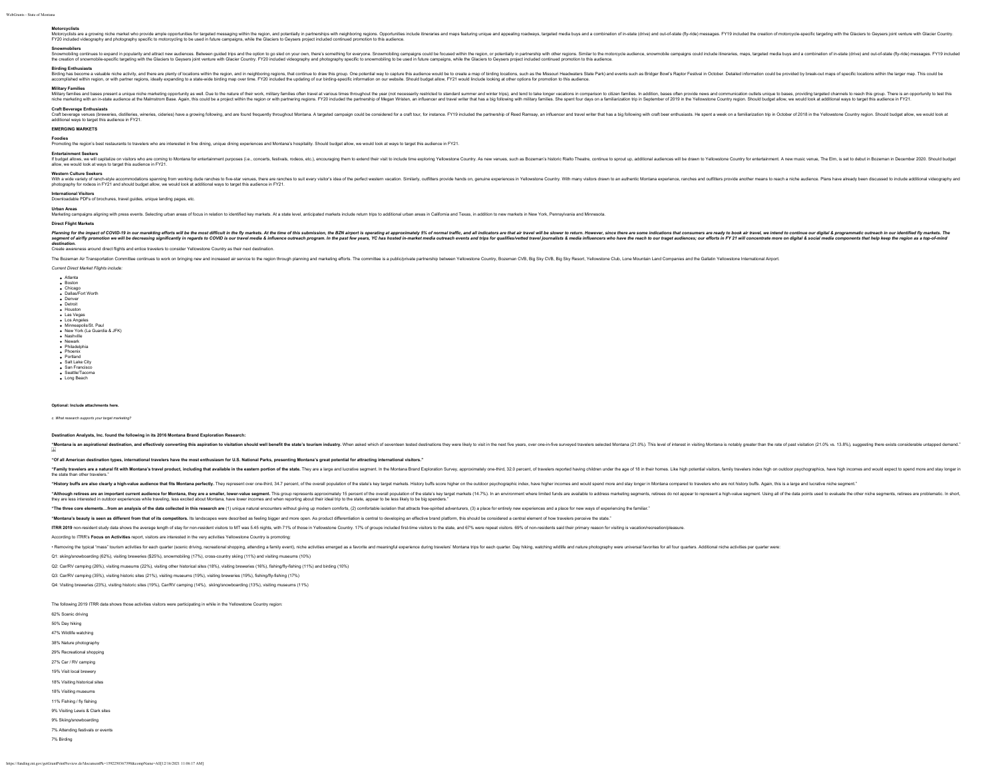Motorcyclists<br>Motorcyclists are a growing niche market who provide ample opportunities for targeted messaging within the region, and pointedial in partnerships with neighboring regions. Opportunities include titus and appo

Snowmobilers<br>Snownobilers contrass to expand in popularly and attract new audience. Betwen guided trips and the opion top sled on your own. there's something for everyone. Snownobiling campagns could be focused within the

## **Birding Enthusiasts**

Birington, a whis man the and the are present of locations with the region and in eighthing regions, and the the state is a man the subsect and the subsect and the subsect and the subsect and the subsect and the subsect an

#### **Military Families**

Military families and bases present a unique niche marketing opportunity as well. Due to the nature of their work, military families often travel at various times throughout the year (not necessarily restricted to standard summer and winter trips), and tend to take longer vacations in comparison to citizen families. In addition, bases often provide news and communication outlets unique to bases, providing targeted channels to reach this group. There is an opportunity to test this mines and use and the state of the members of the content of the state of the content of the content of the content of the content of the content of the content of the content of the content of the content of the content o

### **Craft Beverage Enthusiasts**

Cathors and the substitution on the Substitution of the Substitution and are found frequently throughout Mondana A targeted campaign could be considered for a cart four, for instance. FY19 included the partnership of Reed

## **EMERGING MARKETS**

Foodles<br>Promoting the region's best restaurants to travelers who are interested in fine dining, unique dining experiences and Montana's hospitality. Should budget allow, we would look at ways to target this audience in FY2

Entertainment Seekers<br>If budgitalize on visitors what exoming to Montana for entertainment purposes (i.e., concerts, festivals, rodeos, etc.), encouraging them to extend their visit to include time exploring Yellowstone Co

Western Culture Seekers<br>With a wide yaries/virandy accommodations spanning from working dude ranches follows fire are ranches between the are ranches but every visitors idea of the perfect western vacation. Similarly, outf photography for rodeos in FY21 and should budget allow, we would look at additional ways to target this audience in FY21.

**International Visitors** Downloadable PDFs of brochures, travel guides, unique landing pages, etc.

### **Urban Areas**

waar Areas<br>Asketing campaigns aligning with press events. Selecting urban areas of focus in relation to identified kev markets. At a state level, anticipated markets include return trips to additional urban areas in Califo

### **Direct Flight Markets**

Planing for the impact of COVD-19 in our marking ethers will be monat diffucii in the firm areast. At the inner of this submission, the EXI and indicate is a diffusion as that irror is entergy in and indicate as one in the ranumgs of comparison to the members and the members of the members of the members of the members of the state of the state of the state of the state of the state of the state of the state of the state of the state of the

*destination.* Create awareness around direct flights and entice travelers to consider Yellowstone Country as their next destination.

The Rozeman Air Transportation Committee confinities to work on biomion new and increased air service is the region the region through planeting efforts. The committee is a publicitivity and transportation providing Cultur

*Current Direct Market Flights include:*

Atlanta Boston Chicago Dallas/Fort Worth Denver Detroit Houston Las Vegas Los Angeles • Minneapolis/St. Paul New York (La Guardia & JFK) Nashville Newark Philadelphia • Phoenix<br>• Phoenix<br>• Portland Portland Salt Lake City San Francisco Seattle/Tacoma Long Beach

## **Optional: Include attachments here.**

*c. What research supports your target marketing?*

### **Destination Analysts, Inc. found the following in its 2016 Montana Brand Exploration Research:**

"Montana is an aspirational destination, and effectively converting this aspiration to visitation should well benefit the state's tourism industry. When asked which of seventeen lested destinations they ware. over one-in-f J,

**"Of all American destination types, international travelers have the most enthusiasm for U.S. National Parks, presenting Montana's great potential for attracting international visitors."**

"Family travelers are a natural fit with Montana's travel product, including that available in the eastern portion of the state. They are a large and scrative segment, in the Montana Brand Exploration Survey, approximately the state than other travelers.

"History buffs are also clearly a high-yable audience that fits Montana perfectiv. They recreased over one-third. 34.7 percent of the overall cooulation of the state's key target markets. History buffs score higher on the

"All ough retires are an important current authered for Montan, they are a smaller, benefat the waver when this group material in the section in the section in the section in the section in the section in the section in th they are less interested in our domainst they are less interested in out of the state incomes and when reporting about their ideal trip to the state, appear to be less likely to be big spenders. The state, appear to be les

"The three core elements...from an analysis of the data collected in this research are (1) unique natural encounters without giving up modem comforts, (2) comfortable isolation that attracts free-spirited adventurers, (3)

"Montana's beauty is seen as different from that of its competitors, its landscapes were described as feeling bioger and more open. As product differentiation is central to developing an effective brand platform. this shou

ITRR 2019 non-resident study data shows the average length of stay for non-resident visitors to MT was 5.45 nights, with 71% of those in Yellowstone County. 17% of groups included first-time visitors to the state, and 67%

According to ITRR's **Focus on Activities** report, visitors are interested in the very activities Yellowstone Country is promoting:

· Removing the thristal "mass" tourism activities for each quarter (spenic driving recreational should) activities amic wenth initial activities enamed as a favorite and meaningful experience during transformation for each

Q1: skiing/snowboarding (62%), visiting breweries (\$25%), snowmobiling (17%), cross-country skiing (11%) and visiting museums (10%)

Q2: Car/RV camping (26%), visiting museums (22%), visiting other historical sites (18%), visiting breweries (16%), fishing/fly-fishing (11%) and birding (10%)

Q3: Car/RV camping (35%), visiting historic sites (21%), visiting museums (19%), visiting breweries (19%), fishing/fly-fishing (17%)

Q4: Visiting breweries (23%), visiting historic sites (19%), Car/RV camping (14%), skiing/snowboarding (13%), visiting museums (11%)

The following 2019 ITRR data shows those activities visitors were participating in while in the Yellowstone Country region:

| 62% Scenic driving               |
|----------------------------------|
| 50% Day hiking                   |
| 47% Wildlife watching            |
| 38% Nature photography           |
| 29% Recreational shopping        |
| 27% Car / RV camping             |
| 19% Visit local brewery          |
| 18% Visiting historical sites    |
| 18% Visiting museums             |
| 11% Fishing / fly fishing        |
| 9% Visiting Lewis & Clark sites  |
| 9% Skiing/snowboarding           |
| 7% Attending festivals or events |
| 7% Rirding                       |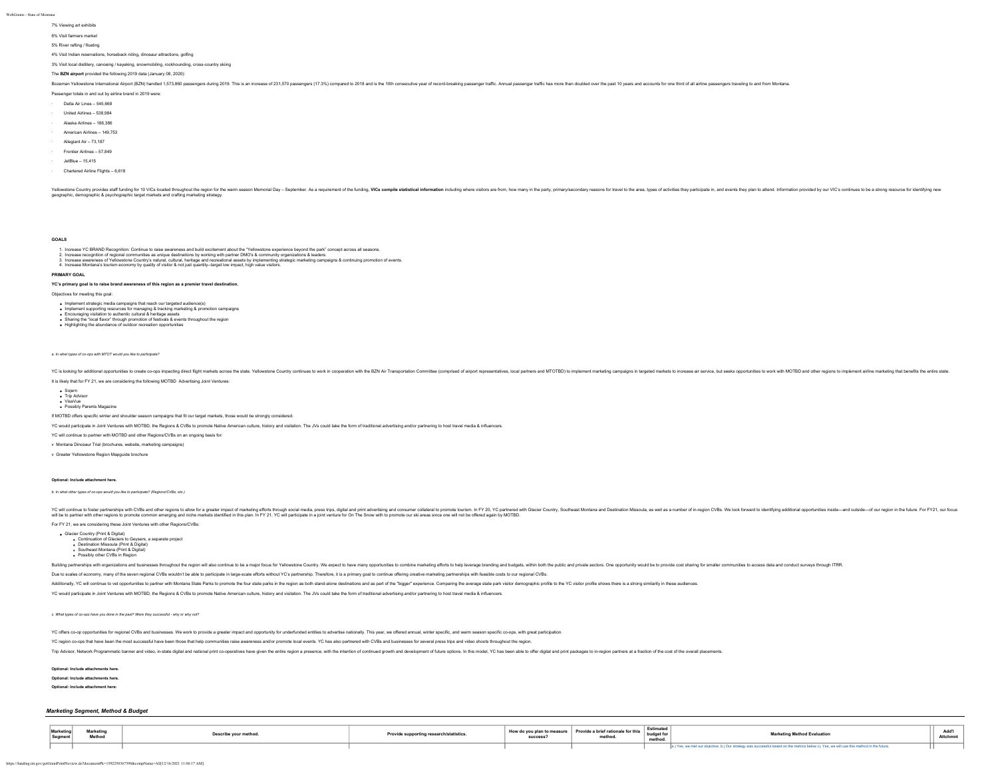### 7% Viewing art exhibits

6% Visit farmers market

5% River rafting / floating

4% Visit Indian reservations, horseback riding, dinosaur attractions, golfing

3% Visit local distillery, canoeing / kayaking, snowmobiling, rockhounding, cross-country skiing

## The **BZN airport** provided the following 2019 data (January 08, 2020):

Bozeman Yellowstone International Airoort (BZN) handled 1,573.860 passencers during 2019. This is an increase of 231.570 passencers (17.3%) compared to 2018 and is the 10th consecutive vear of record-breaking passencer tra

Passenger totals in and out by airline brand in 2019 were:

- · Delta Air Lines 545,668
- · United Airlines 538,984
- · Alaska Airlines 186,386
- · American Airlines 149,753
- 
- Allegiant Air 73,187
- · Frontier Airlines 57,849
- · JetBlue 15,415
- · Chartered Airline Flights 6,618

Yellow provies start fundably of OVC located thoughout the region for the warm season Memorial Day – September. As a requirement of the funding, WCs compile statistical information including where visitos are form, power a

**GOALS**

- 
- 1. Increase YC BRAND Recognion: Continue to raise awareness and build excitement about the Yellotter beyond the paraf concept across all seasons.<br>2. Increase recognition of regional communities as unique about the parafect
- 

### **PRIMARY GOAL**

**YC's primary goal is to raise brand awareness of this region as a premier travel destination.**

Objectives for meeting this goal:

- 
- Implement strategic media campaigns that reach our targeted audience(s)<br>Implement supporting resources for managing & tracking marketing & promotion campaigns<br>Encouraging visitation to authentic cultural & heritage assets
- Sharing the "local flavor" through promotion of festivals & events throughout the region Highlighting the abundance of outdoor recreation opportunities
- 

*a. In what types of co-ops with MTOT would you like to participate?*

YC is looking for additional opportunities to create co-oos impacting direct flight markets across the state. Yellowstone Country continues to work in coponeration with the BZN Air Transportation Committee (comprised airpo

It is likely that for FY 21, we are considering the following MOTBD Advertising Joint Ventures:

Sojern Trip Advisor VisaVue Possibly Parents Magazine

If MOTBD offers specific winter and shoulder season campaigns that fit our target markets, those would be strongly considered.

YC would participate in Joint Ventures with MOTBD, the Regions & CVBs to promote Native American culture, history and visitation. The JVs could take the form of traditional advertising and/or partnering to host travel medi

YC will continue to partner with MOTBD and other Regions/CVBs on an ongoing basis for:

v Montana Dinosaur Trial (brochures, website, marketing campaigns)

v Greater Yellowstone Region Mapguide brochure

#### **Optional: Include attachment here.**

*b. In what other types of co-ops would you like to participate? (Regions/CVBs, etc.)*

YC will controll the mail of the main that will content of the function of the above for a state in part in the state in the state in the state in the state of the state in the function in the function in the function in t

For FY 21, we are considering these Joint Ventures with other Regions/CVBs:

Glacier Country (Print & Digital) Continuation of Glaciers to Geysers, a separate project Destination Missoula (Print & Digital) Southeast Montana (Print & Digital) o Southeast Montana (Frint & Dr<br>The Possibly other CVBs in Region

Building partnerships with organizations and businesses throughout the region will also continue to be a malor focus for Yellowstone Country. We expect to have many opportunities to combine marketing efforts to help levera

Due to scales of economy many of the seven regional CVBs wouldn't be able to participate in large-scale efforts without YC's partnership. Therefore, it is a primary goal to continue offering realty marketing particle and t

Additionally, YC will continue to vet opportunities to partner with Montana State Parks to promote the four state parks in the region as both stand-alone destinations and as part of the "bigger" experience. Comparing the a

YC would participate in Joint Ventures with MOTBD, the Regions & CVBs to promote Native American culture, history and visitation. The JVs could take the form of traditional advertising and/or partnering to host travel medi

*c. What types of co-ops have you done in the past? Were they successful - why or why not?*

YC offers co-op opportunities for regional CVBs and businesses. We work to provide a greater impact and opportunity for underfunded entities to advertise nationally. This year, we offered annual, winter specific, and warm

YC region co-ops that have been the most successful have been those that help communities raise awareness and/or promote local events. YC has also partnered with CVBs and businesses for several press trips and video shoots

Trip Advisor, Network Programmatic banner and video, in-state digital and national print co-operatives have given the entire region a presence, with the intention of continued growth and development of future options. In t

### **Optional: Include attachments here.**

**Optional: Include attachments here.**

**Optional: Include attachment here:**

## *Marketing Segment, Method & Budget*

| <b>Marketin</b> | Marketing<br>Method | scribe your methor | ovide supporting research/statistics. | success | How do you plan to measure   Provide a brief rationale for this<br>methou | Estimated<br>hudget for<br>method | <b>Marketing Method Evaluation</b>                                                                                                   | Auu I |  |
|-----------------|---------------------|--------------------|---------------------------------------|---------|---------------------------------------------------------------------------|-----------------------------------|--------------------------------------------------------------------------------------------------------------------------------------|-------|--|
|                 |                     |                    |                                       |         |                                                                           |                                   | es, we met our objective. b.) Our strategy was successful based on the metrics below c). Yes, we will use this method in the future. |       |  |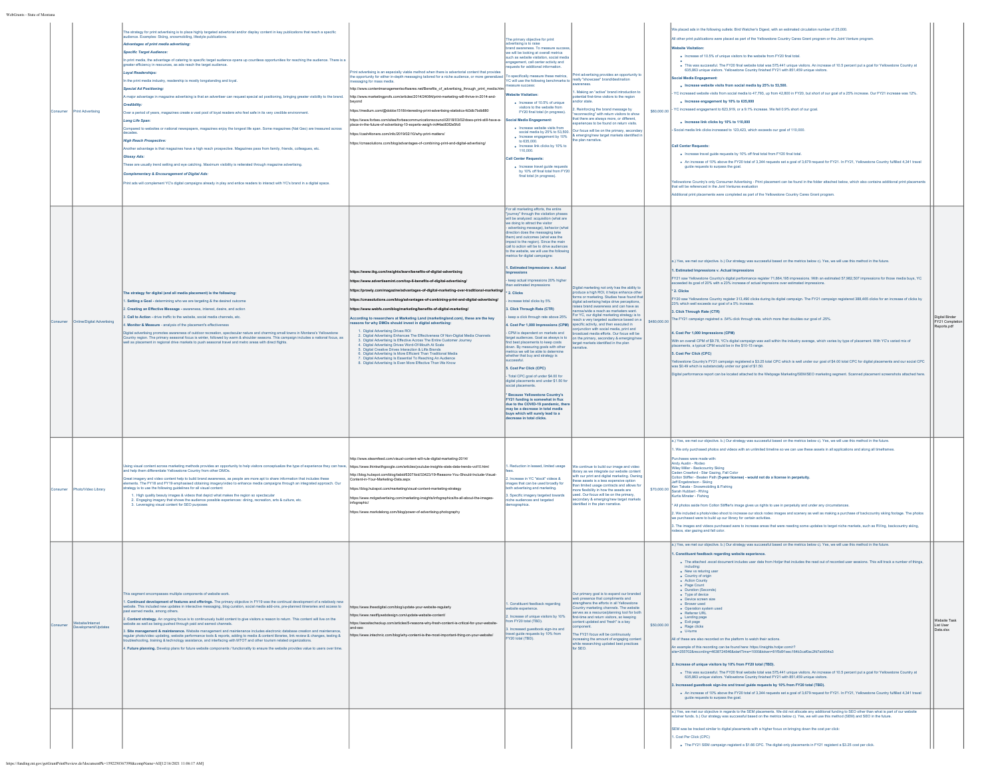| nsumer | <b>Print Advertising</b>               | The strategy for print advertising is to place highly targeted advertorial and/or display content in key publications that reach a specific<br>audience. Examples: Skiing, snowmobiling, lifestyle publications.<br>dvantages of print media advertising:<br>Specific Target Audience.<br>n print media, the advantage of catering to specific target audience opens up countless opportunities for reaching the audience. There is a<br>er efficiency in resources, as ads reach the target audier<br>oyal Readerships:<br>n the print media industry, readership is mostly longstanding and loyal.<br><b>Special Ad Positioning:</b><br>A major advantage in magazine advertising is that an advertiser can request special ad positioning, bringing greater visibility to the brand.<br>Credibility<br>Over a period of years, magazines create a vast pool of loyal readers who feel safe in its very credible environmen<br><b>Long Life Span</b><br>Compared to websites or national newspapers, magazines enjoy the longest life span. Some magazines (Nat Geo) are treasured across<br>ligh Reach Prospective<br>nother advantage is that magazines have a high reach prospective. Magazines pass from family, friends, colleagues, etc.<br>Glossy Ads:<br>These are usually trend setting and eye catching. Maximum visibility is reiterated through magazine advertising<br><b>Complementary &amp; Encouragement of Digital Ads:</b><br>hint ads will complement YC's digital campaigns already in play and entice readers to interact with YC's brand in a digital space | int advertising is an especially viable method when there is advertorial content that provides<br>he opportunity for either in-depth messaging tailored for a niche audience, or more generalized<br>ssaging for mass media.<br>tp://www.contentmanagementsoftwares.net/Benefits of advertising through print media.htm<br>http://www.marketingprofs.com/articles/2014/24084/print-marketing-will-thrive-in-2014-and-<br>https://medium.com/@dobbs1518/interesting-print-advertising-statistics-fd3db7bdb880<br>ttps://www.forbes.com/sites/forb<br>ncil/2018/03/02/does-print-still-have-a<br>ace-in-the-future-of-advertising-10-experts-weigh-in/#4ad83f2e5fc6<br>ttps://cash4toners.com/info/2019/02/10/why-print-matters/<br>https://cmasolutions.com/blog/advantages-of-combining-print-and-digital-advertisingi                                                                                                                                                                                                                                                                                                                | The primary objective for print<br>advertising is to raise<br>brand awareness. To measure succes<br>we will be looking at overall metrics<br>uch as website visitation, social medi<br>ngagement, call center activity and<br>uests for additional info<br>o specifically measure these metrics<br>YC will use the following benchmarks to<br>ure success:<br><b>Website Visitation:</b><br>· Increase of 10.5% of unique<br>visitors to the website from<br>FY20 final total (in progress).<br>ial Media Engagi<br>· Increase website visits from<br>social media by 25% to 53,500.<br>· Increase engagement by 10%<br>to 635,000.<br>$\bullet$ Increase link clicks by 10% to 110,000.<br>Call Center Requests:<br>Increase travel guide requests<br>by 10% off final total from FY20<br>final total (in progress).                                                                                                                                                                                                                                                                                                                                                                                                                                                                                                      | t advertising provides an opportunity to<br>eally "showcase" hrand/destination<br>Making an "active" brand introduction to<br>infall first time visitors to the region<br>for state.<br>einforcing the brand message by<br>reconnecting" with return visitors to show<br>hat there are always more, or different,<br>nces to be found on return visits<br>or focus will be on the primary, seconda<br>emerging/new target markets identified<br>he plan r<br>arrative                                                                                 | \$60,000.00  | Ve placed ads in the following outlets: Bird Watcher's Digest, with an estimated circulation number of 25,000.<br>Il other print publications were placed as part of the Yellowstone Country Cares Grant program or the Joint Venture program<br>ebsite Visitation<br>. Increase of 10.5% of unique visitors to the website from FY20 final total.<br>. This was successful. The FY20 final website total was 575,441 unique visitors. An increase of 10.5 percent put a goal for Yellowstone Country at<br>635.863 unique visitors. Yellowstone Country finished FY21 with 851.459 unique visitors.<br><b>Cial Media Engagement</b><br>. Increase website visits from social media by 25% to 53,500.<br>YC increased website visits from social media to 47,793, up from 42,800 in FY20, but short of our goal of a 25% increase. Our FY21 increase was 12%.<br>· Increase engagement by 10% to 635,000<br>YC increased engagement to 623,919, or a 9.1% increase. We fell 0.9% short of our goal.<br>. Increase link clicks by 10% to 110,000<br>Social media link clicks increased to 123,423, which exceeds our goal of 110,000.<br><b>Call Center Requests</b><br>. Increase travel guide requests by 10% off final total from FY20 final total.<br>. An increase of 10% above the FY20 total of 3,344 requests set a goal of 3,679 request for FY21. In FY21, Yellowstone Country fulfilled 4,341 travel<br>guide requests to surpass the goal.<br>owstone Country's only Consumer Advertising - Print placement can be found in the folder attached below, which also contains additional print placeme<br>tat will be referenced in the Jont Ventures evaluation<br>dditional print placements were completed as part of the Yellowstone Country Cares Grant program |                                             |
|--------|----------------------------------------|-------------------------------------------------------------------------------------------------------------------------------------------------------------------------------------------------------------------------------------------------------------------------------------------------------------------------------------------------------------------------------------------------------------------------------------------------------------------------------------------------------------------------------------------------------------------------------------------------------------------------------------------------------------------------------------------------------------------------------------------------------------------------------------------------------------------------------------------------------------------------------------------------------------------------------------------------------------------------------------------------------------------------------------------------------------------------------------------------------------------------------------------------------------------------------------------------------------------------------------------------------------------------------------------------------------------------------------------------------------------------------------------------------------------------------------------------------------------------------------------------------------------------------------------------------------------------------------|---------------------------------------------------------------------------------------------------------------------------------------------------------------------------------------------------------------------------------------------------------------------------------------------------------------------------------------------------------------------------------------------------------------------------------------------------------------------------------------------------------------------------------------------------------------------------------------------------------------------------------------------------------------------------------------------------------------------------------------------------------------------------------------------------------------------------------------------------------------------------------------------------------------------------------------------------------------------------------------------------------------------------------------------------------------------------------------------------------------------------------------|----------------------------------------------------------------------------------------------------------------------------------------------------------------------------------------------------------------------------------------------------------------------------------------------------------------------------------------------------------------------------------------------------------------------------------------------------------------------------------------------------------------------------------------------------------------------------------------------------------------------------------------------------------------------------------------------------------------------------------------------------------------------------------------------------------------------------------------------------------------------------------------------------------------------------------------------------------------------------------------------------------------------------------------------------------------------------------------------------------------------------------------------------------------------------------------------------------------------------------------------------------------------------------------------------------------------------|-------------------------------------------------------------------------------------------------------------------------------------------------------------------------------------------------------------------------------------------------------------------------------------------------------------------------------------------------------------------------------------------------------------------------------------------------------------------------------------------------------------------------------------------------------|--------------|------------------------------------------------------------------------------------------------------------------------------------------------------------------------------------------------------------------------------------------------------------------------------------------------------------------------------------------------------------------------------------------------------------------------------------------------------------------------------------------------------------------------------------------------------------------------------------------------------------------------------------------------------------------------------------------------------------------------------------------------------------------------------------------------------------------------------------------------------------------------------------------------------------------------------------------------------------------------------------------------------------------------------------------------------------------------------------------------------------------------------------------------------------------------------------------------------------------------------------------------------------------------------------------------------------------------------------------------------------------------------------------------------------------------------------------------------------------------------------------------------------------------------------------------------------------------------------------------------------------------------------------------------------------------------------------------------------------------------------------------------------------------------|---------------------------------------------|
|        | Online/Digital Advertising             | The strategy for digital (and all media placement) is the following:<br>Setting a Goal - determining who we are targeting & the desired outcome<br>Creating an Effective Message - awareness, interest, desire, and action<br>. Call to Action - drive traffic to the website, social media channels, etc.<br>Monitor & Measure - analysis of the placement's effectiveness<br>Digital advertising promotes awareness of cutdoor recreation, spectacular nature and charming small towns in Montana's Yellowstone<br>ountry region. The primary seasonal focus is winter, followed by warm & shoulder seasons. This campaign includes a national focus, as<br>well as placement in regional drive markets to push seasonal travel and metro areas with direct flights.                                                                                                                                                                                                                                                                                                                                                                                                                                                                                                                                                                                                                                                                                                                                                                                                              | ttps://www.tkg.com/insights/learn/benefits-of-digital-advertising<br>ttps://www.advertisemint.com/top-6-benefits-of-digital-advertising<br>https://prowly.com/magazine/advantages-of-digital-marketing-over-traditional-marketing/<br>https://cmasolutions.com/blog/advantages-of-combining-print-and-digital-advertising/<br>https://www.webfx.com/blog/marketing/benefits-of-digital-marketing/<br>ording to researchers at Marketing Land (marketingland.com), these are the key<br>asons for why DMOs should invest in digital advertising:<br>1. Digital Advertising Drives ROI<br>1. Digital Advertising Enhances The Effectiveness Of Non-Digital Media Channels<br>2. Digital Advertising Is Effective Across The Entire Customer Journey<br>4. Digital Advertising Drives Word-Of-Mouth At Scale<br>5. Digital Creative Drives Interaction & Lifts Brands<br>C. Digital Advertising Is More Efficient Than Traditional Media<br>7. Digital Advertising Is More Efficient Than Traditional Media<br>7. Digital Advertising Is Essential To Reaching An Audience<br>8. Digital Advertising Is Fyen More Effective Than We Know | For all marketing efforts, the entire<br>"journey" through the visitation phases<br>will be analyzed: acquisition (what are<br>we doing to attract the visitor<br>advertising message), behavior (what<br>direction does the messaging take<br>them) and outcomes (what was the<br>mpact to the region). Since the main<br>all to action will be to drive audience<br>to the website, we will use the followin<br>netrics for digital campaigns:<br>1. Estimated Impressions v. Actual<br>keep actual impressions 20% higher<br>n estimated impr<br>2. Clicks<br>crease total clicks by 5%<br>3. Click Through Rate (CTR)<br>keep a click through rate above 25%<br>4. Cost Per 1,000 Impressions (CPM)<br>- CPM is dependent on markets and<br>rget audiences. Goal as always is to<br>find best placements to keep costs<br>down. By measuring goals with other<br>metrics we will be able to determine<br>whether that buy and strategy is<br>cessful.<br>5. Cost Per Click (CPC)<br>- Total CPC goal of under \$4.00 for<br>digital placements and under \$1.50 fo<br>ocial placements.<br>* Because Yellowstone Country's<br><b>EXAMPLE 21 FY21 funding is somewhat in flux</b><br>due to the COVID-19 pandemic, the<br>may be a decrease in total media<br>buys which will surely lead to a<br>ease in total clicks. | tal marketing not only has the ability to<br>tuce a high ROI, it helps enhance other<br>ms or marketing. Studies have found that<br>gital advertising helps drive perceptions<br>tes brand awareness and can have as<br>vide a reach as marketers wan<br>or YC, our digital marketing strategy is to<br>ch a very targeted audience based on a<br>cific activity, and then executed in<br>inction with social media, print and<br>Icast media efforts. Our focus will be<br>n the primary, secondary & emerging<br>get markets identified in the plan | \$480,000.00 | .) Yes, we met our objective. b.) Our strategy was successful based on the metrics below c). Yes, we will use this method in the future<br>. Estimated Impressions v. Actual Impressions<br>FY21 saw Yellowstone Country's digital performance register 71,664,195 impressions. With an estimated 57,982,507 impressions for those media buys, YC<br>ceeded its goal of 20% with a 23% increase of actual impres<br>* 2. Clicks<br>FY20 saw Yellowstone Country register 313,490 clicks during its digital campaign. The FY21 campaign registered 388,465 clicks for an increase of clicks by<br>% which well exceeds our goal of a 5% increas<br>Click Through Rate (CTR)<br>The FY21 campaign registred a .54% click through rate, which more than doubles our goal of .25%.<br>Cost Per 1,000 Impressions (CPM)<br>With an overall CPM of \$9.78, YC's digital campaign was well within the industry average, which varies by type of placement. With YC's varied mix of<br>placements, a typical CPM would be in the \$10-15 range.<br>5. Cost Per Click (CPC)<br>ellowstone Country's FY21 campaign registered a \$3.25 total CPC which is well under our goal of \$4.00 total CPC for digital placements and our social CPC<br>was \$0.49 which is substancially under our goal of \$1.50.<br>ligital performance report can be located attached to the Webpage Marketing/SEM/SEO marketing segment. Scanned placement screenshots attached here                                                                                                                                                                                                                                                                                                                       | Digital Binder<br>FY21 Complet<br>ports.pdf |
| sumer  | hoto/Video Library                     | sing visual content across marketing methods provides an opportunity to help visitors conceptualize the type of experience they can have<br>nd help them differentiate Yellowstone Country from other DMOs.<br>Great imagery and video content help to build brand awareness, as people are more apt to share information that includes these<br>nents. The FY18 and FY19 emphasised obtaining imagery/video to enhance media campaigns through an integrated approach. Our<br>ategy is to use the following guidelines for all visual content<br>1. High quality beauty images & videos that depict what makes the region so spectacular<br>2. Engaging imagery that shows the audience possible experiences: dining, recreation, arts & culture, etc.<br>3. Leveraging visual content for SEO purposes                                                                                                                                                                                                                                                                                                                                                                                                                                                                                                                                                                                                                                                                                                                                                                            | p://www.steamfeed.com/visual-content-will-rule-digital-marketing-2014/<br>https://www.thinkwithgoogle.com/articles/youtube-insights-stats-data-trends-vol10.html<br>ttp://blog.hubspot.com/blog/tabid/6307/bid/33423/19-Reasons-You-Should-Include-Visual-<br>ntent-in-Your-Marketing-Data.aspx<br>ttps://blog.hubspot.com/marketing/visual-content-marketing-strategy<br>https://www.mdgadvertising.com/marketing-insights/infographics/its-all-about-the-images-<br>fographic/<br>https://www.markdelong.com/blog/power-of-advertising-photography                                                                                                                                                                                                                                                                                                                                                                                                                                                                                                                                                                                  | Reduction in leased, limited usage<br>Increase in YC "stock" videos &<br>nages that can be used broadly for<br>oth advertising and marketing.<br>Specific imagery targeted towards<br>iche audiences and targeted<br>lemographics.                                                                                                                                                                                                                                                                                                                                                                                                                                                                                                                                                                                                                                                                                                                                                                                                                                                                                                                                                                                                                                                                                         | e continue to build our image and video<br>rary as we integrate our website content<br>h our print and digital marketing. Ownin<br>ssets is a less expensive<br>limited usage contracts and allows for<br>re flexibility in how the assets are<br>d. Our focus will be on the primary,<br>ndary & emerging/new target marke<br>tified in the plan narrative.                                                                                                                                                                                          | \$70,000.00  | (1) Yes, we met our objective, b.) Our strategy was successful based on the metrics below c). Yes, we will use this method in the future.<br>. We only purchased photos and videos with an unlimited timeline so we can use these assets in all applications and along all timeframes<br>urchases were made with:<br>Andy Austin - Rodeo<br>Wiley Miller - Backcountry Skiing<br>.<br>Caden Crawford - Star Gazing, Fall Color<br>Colton Stiffler - Beaten Path <b>(5-year license) - would not do a license in perpetuity</b><br>Jeff Engebretson - Skiing<br>Ken Takata - Snowmobiling & Fishing<br>Sarah Hubbart - RVing<br>rtis Minster - Fishin<br>All photos aside from Colton Stiffler's image gives us rights to use in perpetuity and under any circumstances.<br>We included a photo/video shoot to increase our stock rodeo images and scenery as well as making a purchase of backcountry skiing footage. The photos<br>e purchased were to build up our library for certain activities.<br>3. The images and videos purchased were to increase areas that were needing some updates to target niche markets, such as RVing, backcountry skiing,<br>leos, star gazing and fall color.                                                                                                                                                                                                                                                                                                                                                                                                                                                                                                                                                                            |                                             |
| nsumer | Vebsite/Interne<br>Development/Updates | his seament encompasses multiple components of website work<br>Continued development of features and offerings. The primary objective in FY19 was the continual development of a relatively<br>sbsite. This included new updates in interactive messaging, blog curation, social media add-ons, pre-planned itineraries and access to<br>ast earned media, among others.<br>. Content strategy. An ongoing focus is to continuously build content to give visitors a reason to return. This content will live on the<br>bsite as well as being pushed through paid and earned channels.<br>Site management & maintenance. Website management and maintenance includes electronic database creation and maintenance<br>regular photo/video updating, website performance tools & reports, adding to media & content libraries, link review & changes, testing &<br>oubleshooting, training & technology assistance, and interfacing with MTOT and other tourism related organizations.<br>Future planning. Develop plans for future website components / functionality to ensure the website provides value to users over time                                                                                                                                                                                                                                                                                                                                                                                                                                                       | ttps://www.theedigital.com/blog/update-your-website-regularly<br>ttps://www.nextflywebdesign.com/update-website-content/<br>https://seositecheckup.com/articles/5-reasons-why-fresh-content-is-critical-for-your-website-<br>nd-seo<br>ttps://www.intechnic.com/blog/why-content-is-the-most-important-thing-on-your-website/                                                                                                                                                                                                                                                                                                                                                                                                                                                                                                                                                                                                                                                                                                                                                                                                         | Constituent feedback regarding<br>bsite experience.<br>Increase of unique visitors by 10%<br>rom FY20 total (TBD).<br>Increased questbook sign-ins and<br>avel guide requests by 10% from<br>FY20 total (TBD).                                                                                                                                                                                                                                                                                                                                                                                                                                                                                                                                                                                                                                                                                                                                                                                                                                                                                                                                                                                                                                                                                                             | r primary goal is to expand our branded<br>eb presence that compliments and<br>othens the efforts in all Yellowstor<br>try marketing channels. The websit<br>ves as a resource/planning tool for both<br>time and return visitors, so keeping<br>water industrial and "fresh" is a key<br>nponent.<br>e FY21 focus will be continu<br>easing the amount of engaging cont<br>hile researching updated best practices<br>for SEO.                                                                                                                       | \$50,000.00  | .) Yes, we met our objective. b.) Our strategy was successful based on the metrics below c). Yes, we will use this method in the future<br>Constituent feedback regarding website experience<br>. The attached .excel document includes user data from Hotjar that includes the read out of recorded user sessions. This will track a number of things,<br>including:<br>• New vs returing user<br>• Country of origin<br>. Action County<br>· Page Count<br>· Duration (Seconds)<br>Type of device<br>· Device screen size<br>· Brower used<br>· Operation system used<br>· Referrer URL<br>$\bullet$ Landing page<br>· Exit page<br>$\bullet$ Rage clicks<br>$\bullet$ U-turns<br>Il of these are also recorded on the platform to watch their actions<br>n example of this recording can be found here: https://insights.hotjar.com/r?<br>le=255702&recording=4638724546&startTime=1000&token=81f5d91eec164b3caf0ac2fd7ab934a3<br>Increase of unique visitors by 10% from FY20 total (TBD).<br>. This was successful. The FY20 final website total was 575,441 unique visitors. An increase of 10.5 percent put a goal for Yellowstone Country at<br>635.863 unique visitors. Yellowstone Country finished FY21 with 851.459 unique visitors.<br>Increased guestbook sign-ins and travel guide requests by 10% from FY20 total (TBD).<br>. An increase of 10% above the FY20 total of 3,344 requests set a goal of 3,679 request for FY21. In FY21, Yellowstone Country fulfilled 4,341 travel<br>guide requests to surpass the goal.<br>a.) Yes, we met our objective in regards to the SEM placements. We did not allocate any additional funding to SEO other than what is part of our website                                                                         | ist User<br>Data.xisx                       |
|        |                                        |                                                                                                                                                                                                                                                                                                                                                                                                                                                                                                                                                                                                                                                                                                                                                                                                                                                                                                                                                                                                                                                                                                                                                                                                                                                                                                                                                                                                                                                                                                                                                                                     |                                                                                                                                                                                                                                                                                                                                                                                                                                                                                                                                                                                                                                                                                                                                                                                                                                                                                                                                                                                                                                                                                                                                       |                                                                                                                                                                                                                                                                                                                                                                                                                                                                                                                                                                                                                                                                                                                                                                                                                                                                                                                                                                                                                                                                                                                                                                                                                                                                                                                            |                                                                                                                                                                                                                                                                                                                                                                                                                                                                                                                                                       |              | ainer funds. b.) Our strategy was successful based on the metrics below c). Yes, we will use this method (SEM) and SEO in the future.<br>SEM was be tracked similar to digital placements with a higher focus on bringing down the cost per click:<br>Cost Per Click (CPC)<br>· The FY21 SEM campaign registerd a \$1.66 CPC. The digital-only placements in FY21 registerd a \$3.25 cost per click.                                                                                                                                                                                                                                                                                                                                                                                                                                                                                                                                                                                                                                                                                                                                                                                                                                                                                                                                                                                                                                                                                                                                                                                                                                                                                                                                                                         |                                             |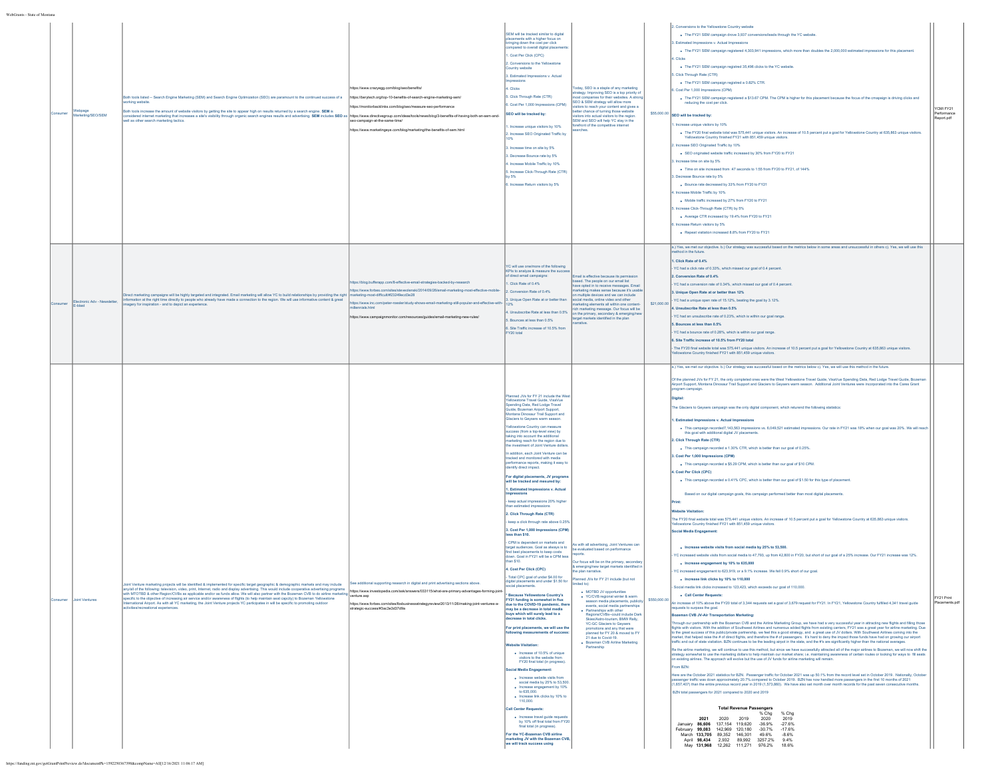|        | age<br>arketing/SEO/SEM                 | Both tools listed -- Search Engine Marketing (SEM) and Search Engine Optimization (SEO) are paramount to the continued success of a<br>king website<br>oth tools increase the amount of website visitors by getting the site to appear high on results returned by a search engine. SEM is<br>orsidered internet marketing that increases a site's visibility through organic search engines results and advertising. SEM includes SEO as https://www.directivegroup.com/deas/bols/news/blog/3-benefits-of-having-both-an-se                                                                                                                                                                                                                                                        | ps://www.crazyegg.com/blog/seo/benefits<br>https://berytech.org/top-10-benefits-of-search-engine-marketing-sem/<br>sure-seo-performance<br>ps://www.marketingeye.com/blog/marketing/the-benefits-of-sem.html                                                                                                                                                                         | SEM will be tracked similar to digital<br>placements with a higher focus on<br>bringing down the cost per click<br>ared to overall digital placeme<br>Cost Per Click (CPC)<br>. Conversions to the Yellowstone<br>Country website<br>3. Estimated Impressions v. Actual<br>pressions<br>Clicks<br>5. Click Through Rate (CTR)<br>6. Cost Per 1.000 Impressions (CPM)<br>SEO will be tracked by:<br>Increase unique visitors by 10%<br>Increase SEO Originated Traffic by<br>Increase time on site by 5%<br>Decrease Bounce rate by 6%<br>Increase Mobile Traffic by 10%<br>Increase Click-Through Rate (CTR)<br>Increase Return visitors by 5%                                                                                                                                                                                                                                                                                                                                                                                                                                                                                                                                                                                                                                                                                                                                                                                                                                                                                                                                                                                                                                                                                                                                                                                                                                                                                                                                                                           | day, SEO is a staple of any marketing<br>ategy. Improving SEO is a top priority o<br>outly companies for their websites. A strong<br>EO & SEM strategy will allow more<br>ors to reach your content and gives a<br>tter chance of turning those website<br>itors into actual visitors to the region<br>SEM and SEO will help YC stay in the<br>efront of the competitive int                                                                                                                                                                                                                                                    |              | 2. Conversions to the Yellowstone Country website<br>. The FY21 SEM campaign drove 3,937 conversions/leads through the YC website<br>Estimated Impressions v. Actual Impr<br>. The FY21 SEM campaign registered 4,303,941 impressions, which more than doubles the 2,000,000 estimated impressions for this placement.<br>. Clicks<br>. The FY21 SEM campaign registred 35.496 clicks to the YC website.<br>5. Click Through Rate (CTR)<br>The FY21 SEM campaign registred a 0.82% CTR.<br>Cost Per 1,000 Impressions (CPM)<br>. The FY21 SEM campaign registered a \$13.67 CPM. The CPM is higher for this placement because the focus of the cmapaign is driving clicks and<br>reducing the cost per click.<br>$$55,000.00$ SEO will be tracked by:<br>Increase unique visitors by 10%<br>. The FY20 final website total was 575,441 unique visitors. An increase of 10.5 percent put a goal for Yellowstone Country at 635,863 unique visitors.<br>ne Country finished FY21 with 851,459 unique visitor<br>rease SEO Originated Traffic by 10%<br>. SEO originated website traffic increased by 30% from FY20 to FY21<br>Increase time on site by 5%<br>. Time on site increased from :47 seconds to 1:55 from FY20 to FY21, of 144%<br>. Decrease Bounce rate by 5%<br>. Bounce rate decreased by 33% from FY20 to FY21<br>I. Increase Mobile Traffic by 10%<br>. Mobile traffic increased by 27% from FY20 to FY21<br>Increase Click-Through Rate (CTR) by 5%<br>. Average CTR increased by 19.4% from FY20 to FY21<br>ncrease Return visitors by 5%<br>. Repeat visitation increased 8.8% from FY20 to FY21                                                                                                                                                                                                                                                                                                                                                                                                                                                                                                                                                                                                                                                                                                                                                                                                                                                                                                                                                                                                                                                                                                                                                                                                                                                                                                                                                                                                                                                                                                                                                                                                                                                                                                                                                                                                                                                                                                                                                                                                                                                                                                                                                                                                                                                                                                                                                                                                                                                                                                                                                                                                                                                                                                                                                                | YCMI FY21<br>Report.pdf |
|--------|-----------------------------------------|-------------------------------------------------------------------------------------------------------------------------------------------------------------------------------------------------------------------------------------------------------------------------------------------------------------------------------------------------------------------------------------------------------------------------------------------------------------------------------------------------------------------------------------------------------------------------------------------------------------------------------------------------------------------------------------------------------------------------------------------------------------------------------------|--------------------------------------------------------------------------------------------------------------------------------------------------------------------------------------------------------------------------------------------------------------------------------------------------------------------------------------------------------------------------------------|--------------------------------------------------------------------------------------------------------------------------------------------------------------------------------------------------------------------------------------------------------------------------------------------------------------------------------------------------------------------------------------------------------------------------------------------------------------------------------------------------------------------------------------------------------------------------------------------------------------------------------------------------------------------------------------------------------------------------------------------------------------------------------------------------------------------------------------------------------------------------------------------------------------------------------------------------------------------------------------------------------------------------------------------------------------------------------------------------------------------------------------------------------------------------------------------------------------------------------------------------------------------------------------------------------------------------------------------------------------------------------------------------------------------------------------------------------------------------------------------------------------------------------------------------------------------------------------------------------------------------------------------------------------------------------------------------------------------------------------------------------------------------------------------------------------------------------------------------------------------------------------------------------------------------------------------------------------------------------------------------------------------------|---------------------------------------------------------------------------------------------------------------------------------------------------------------------------------------------------------------------------------------------------------------------------------------------------------------------------------------------------------------------------------------------------------------------------------------------------------------------------------------------------------------------------------------------------------------------------------------------------------------------------------|--------------|----------------------------------------------------------------------------------------------------------------------------------------------------------------------------------------------------------------------------------------------------------------------------------------------------------------------------------------------------------------------------------------------------------------------------------------------------------------------------------------------------------------------------------------------------------------------------------------------------------------------------------------------------------------------------------------------------------------------------------------------------------------------------------------------------------------------------------------------------------------------------------------------------------------------------------------------------------------------------------------------------------------------------------------------------------------------------------------------------------------------------------------------------------------------------------------------------------------------------------------------------------------------------------------------------------------------------------------------------------------------------------------------------------------------------------------------------------------------------------------------------------------------------------------------------------------------------------------------------------------------------------------------------------------------------------------------------------------------------------------------------------------------------------------------------------------------------------------------------------------------------------------------------------------------------------------------------------------------------------------------------------------------------------------------------------------------------------------------------------------------------------------------------------------------------------------------------------------------------------------------------------------------------------------------------------------------------------------------------------------------------------------------------------------------------------------------------------------------------------------------------------------------------------------------------------------------------------------------------------------------------------------------------------------------------------------------------------------------------------------------------------------------------------------------------------------------------------------------------------------------------------------------------------------------------------------------------------------------------------------------------------------------------------------------------------------------------------------------------------------------------------------------------------------------------------------------------------------------------------------------------------------------------------------------------------------------------------------------------------------------------------------------------------------------------------------------------------------------------------------------------------------------------------------------------------------------------------------------------------------------------------------------------------------------------------------------------------------------------------------------------------------------------------------------------------------------------------------------------------------------------------------------------------------------------------------------------------------------------------------------------------------------------------------------------------------------------------------------------------------------------------------------------------------------------------------------------------------------------------------------------------------------------------------------------------------------------------------------------------------------------------|-------------------------|
|        | Electronic Adv - Newsletter,<br>E-blast | ect marketing campaigns will be highly targeted and integrated. Email marketing will allow YC to build relationships by providing the right<br>nformation at the right time directly to people who already have made a connection to the region. We will use informative co<br>ontent & great<br>nagery for inspiration - and to depict an experience.                                                                                                                                                                                                                                                                                                                                                                                                                              | ps://blog.bufferapp.com/8-effective-email-strategies-backed-by-research<br>https://www.forbes.com/sites/steveolenski<br>marketing-most-difficult/#23249ecd3e28<br>ski/2014/09/26/email-marketing-most-effective-mo<br>ler/study-shows-email-marketing-still-popular-and-effective-wit<br>s://www.inc.com<br>tps://www.campaignmonitor.com/resources/guides/email-marketing-new-rules | YC will use one/more of the following<br>KPIs to analyze & measure the su<br>direct email campaigns<br>1. Click Rate of 0.4%<br>Conversion Rate of 0.4%<br>Unique Open Rate at or better than<br>Unsubscribe Rate at less than 0.5%<br>Bounces at less than 0.5%<br>6. Site Traffic increase of 10.5% from<br>FY20 total                                                                                                                                                                                                                                                                                                                                                                                                                                                                                                                                                                                                                                                                                                                                                                                                                                                                                                                                                                                                                                                                                                                                                                                                                                                                                                                                                                                                                                                                                                                                                                                                                                                                                                 | ail is effective because its perm<br>sed. The people on our email list<br>have coted in to receive messages. Email<br>ting makes sense because it's usable<br>multiple devices and we can include<br>ial media, online video and other<br>rketing elements all within one conter<br>marketing message. Our focus will be<br>on the primary, secondary & emerging/n<br>get markets identified in the plan<br>ative.                                                                                                                                                                                                              | \$21,000.00  | a.) Yes, we met our objective. b.) Our strategy was successful based on the metrics below in some areas and unsuccessful in others c). Yes, we will use this<br>ethod in the future<br>1. Click Rate of 0.4%<br>YC had a click rate of 0.33%, which missed our goal of 0.4 percent.<br>2. Conversion Rate of 0.4%<br>YC had a conversion rate of 0.34%, which missed our goal of 0.4 percent.<br>I. Unique Open Rate at or better than 12%<br>YC had a unique open rate of 15.12%, beating the goal by 3.12%.<br>4. Unsubscribe Rate at less than 0.5%<br>YC had an unsubscribe rate of 0.23%, which is within our goal range.<br>5. Bounces at less than 0.5%<br>YC had a bounce rate of 0.28%, which is within our goal range.<br>6. Site Traffic increase of 10.5% from FY20 total<br>The FY20 final website total was 575,441 unique visitors. An increase of 10.5 percent put a goal for Yellowstone Country at 635,863 unique visitors.<br>wstone Country finished FY21 with 851,459 unique visitors.                                                                                                                                                                                                                                                                                                                                                                                                                                                                                                                                                                                                                                                                                                                                                                                                                                                                                                                                                                                                                                                                                                                                                                                                                                                                                                                                                                                                                                                                                                                                                                                                                                                                                                                                                                                                                                                                                                                                                                                                                                                                                                                                                                                                                                                                                                                                                                                                                                                                                                                                                                                                                                                                                                                                                                                                                                                                                                                                                                                                                                                                                                                                                                                                                                                                                                                                                                      |                         |
| nsumer | <b>Joint Ventures</b>                   | ting projects will be identified & imple<br>rented for specific target geogr<br>aphic & demographic markets and may includ<br>wall of the follow<br>ion, video, print, Internet, radio and display adve<br>with MTOTBD & other Region/CVBs as applicable and/or as funds allow. We will also partner with the Bozeman CVB to do airline marketing<br>specific to the objective of increasing air service and/or awareness of flights (to help maintain seat capcity) to Bozeman Yellowstone<br>emational Airport. As with all YC marketing, the Joint Venture projects YC participates in will be specific to promoting outdoor<br>ivities/recreational experiences<br>https://funding.mt.gov/getGrantPrintPreview.do?documentPk=1592250367398&compName=All[12/16/2021 11:06:17 AM] | https://www.investopedia.com/ask/answers/033115/what-are-primary-advantages-forming-join<br>venture.asp<br>ttps://www.forbes.com/sites/lbsbusinessstrategyreview/2013/11/26/making-joint-ventures-a-<br>trategic-success/#3ac3e3d37d9a                                                                                                                                               | lanned JVs for FY 21 include the Wes<br>wstone Travel Guide, VisaVue<br>Spending Data, Red Lodge Travel<br><b>Suide, Bozeman Airport Support,</b><br>Montana Dinosaur Trail Support and<br>laciers to Geysers warm season.<br><b>Ilowstone Country can measure</b><br>success (from a top-level view) by<br>aking into account the additional<br>marketing reach for the region due to<br>the investment of Joint Venture dollars<br>addition, each Joint Venture can be<br>tracked and monitored with media<br>erformance reports, making it easy to<br>dentify direct impact<br>For digital placements, JV programs<br>will be tracked and mesured by:<br>1. Estimated Impressions v. Actual<br>keep actual impressions 20% higher<br>estimated impres<br>2. Click Through Rate (CTR)<br>keep a click through rate above 0.25%<br>3. Cost Per 1,000 Impressions (CPM)<br>less than \$10.<br>CPM is dependent on markets and<br>target audiences. Goal as always is to<br>find best placements to keep costs<br>down. Goal in FY21 will be a CPM less<br>an \$10.<br>4. Cost Per Click (CPC)<br>- Total CPC goal of under \$4.00 for<br>social placements.<br>* Because Yellowstone Country's<br>FY21 funding is somewhat in flux<br>due to the COVID-19 pandemic, then<br>may be a decrease in total media<br>buys which will surely lead to a<br>crease in total clicks.<br>For print placements, we will use the<br>wing measurements of success<br><b>Website Visitation:</b><br>- Increase of 10.6% of unique<br>visitors to the website from<br>FY20 final total (in progress)<br>Social Media Engagement:<br>· Increase website visits from<br>social media by 25% to 53,500<br>· Increase engagement by 109<br>to 635,000.<br>. Increase link clicks by 10% to<br>110,000.<br><b>Call Center Requests</b><br>· Increase travel quide red<br>y 10% off final total from FY20<br>final total (in progress)<br>For the YC-Bozeman CVB airline<br>markeitng JV with the Bozeman CVB,<br>we will track success using | s with all advertising, Joint Ventures can<br>xxts.<br>Our focus will be on the primary, secondar<br>emerging/new target markets identified in<br>e plan narrative.<br>anned JVs for FY 21 include (but not<br>+ MOTBD JV opportunities<br>↑ YC/CVB regional winter & warm<br>season media placements, publicity<br>events, social media partnerships<br>· Partnerships with other<br>Regions/CVBs--could include Dark<br>Skies/Astro-tourism, BMW Rally,<br>YC-GC Glaciers to Geysers<br>motions and any that were<br>planned for FY 20 & moved to FY<br>21 due to Covid-19.<br>• Bozeman CVB Airline Marketing<br>Partnership | \$550,000.00 | a.) Yes, we met our objective, b.) Our strategy was successful based on the metrics below c). Yes, we will use this method in the future.<br>.<br>Of the planned JVs for FY 21, the only completed ones were the West Yellowstone Travel Guide, VisaVue Spending Data, Red Lodge Travel Guide, Bozeman<br>Nirport Support, Montana Dinosaur Trail Support and Glaciers to Geysers warm season. Additional Joint Ventures were incorporated into the Cares Grant<br>ogram campaign.<br>The Glaciers to Geysers campaign was the only digital component, which returend the following statistics:<br>I. Estimated Impressions v. Actual Impressions<br>. This campaign recorded7,143,563 impressions vs. 6,049,521 estimated impressions. Our rate in FY21 was 18% when our goal was 20%. We will reach<br>this goal with additional digital JV placements.<br>2. Click Through Rate (CTR)<br>. This campaign recorded a 1.30% CTR, which is better than our goal of 0.25%.<br>3. Cost Per 1,000 Impressions (CPM)<br>. This campaign recorded a \$5.29 CPM, which is better than our goal of \$10 CPM.<br>1. Cost Per Click (CPC)<br>. This campaign recorded a 0.41% CPC, which is better than our goal of \$1.50 for this type of placement.<br>Based on our digital campaign goals, this campaign performed better than most digital placements<br><b>Vebsite Visitation</b><br>The FY20 final website total was 575,441 unique visitors. An increase of 10.5 percent put a goal for Yellowstone Country at 635,863 unique visitors.<br>wstone Country finished FY21 with 851,459 unique visitors.<br><b>Social Media Engagement:</b><br>. Increase website visits from social media by 25% to 53,500.<br>/C increased website visits from social media to 47,793, up from 42,800 in FY20, but short of our goal of a 25% increase. Our FY21 increase was 12%.<br>· Increase engagement by 10% to 635,000<br>YC increased engagement to 623,919, or a 9.1% increase. We fell 0.9% short of our goal.<br>. Increase link clicks by 10% to 110,000<br>Social media link clicks increased to 123,423, which exceeds our goal of 110,000.<br>. Call Center Requests<br>An increase of 10% above the FY20 total of 3,344 requests set a goal of 3,679 request for FY21. In FY21, Yellowstone Country fulfilled 4,341 travel guide<br>quests to surpass the goal<br>zeman CVB JV-Air Transportation Marketing:<br>trough our partnership with the Bozeman CVB and the Airline Marketing Group, we have had a very successful year in attracting new flights and filling those<br>flights with visitors. With the addition of Southwest Airlines and numerous added flights from existing carriers, FY21 was a great year for airline marketing. Due<br>In the great success of this public private partnership, we<br>arket, that helped raise the # of direct flights, and therefore the # of passengers. It's hard to deny the impact those funds have had on growing our airport<br>traffic and out of state visitation. BZN continues to be the leading airpot in the state, and the #'s are significantly higher than the national averages.<br>e the airline marketing, we will continue to use this method, but since we have successfully attracted all of the major airlines to Bozeman, we will now shift the<br>strategy somewhat to use the marketing dollars to help maintain our market share; i.e. maintaining awareness of certain routes or looking for ways to fill seats<br>on existing airlines. The approach will evolve but the use of<br>om BZN:<br>lere are the October 2021 statistics for BZN. Passenger traffic for October 2021 was up 50.1% from the record level set in October 2019. Nationally, October<br>Facebook and the statement of the Content of the College of the Statement of the Content of the Statement of the Statement of 2021, the Statement of 2021, the Statement of 2021, the Statement of 2021, the Statement of 2021<br>BZN total passengers for 2021 compared to 2020 and 2019<br><b>Total Revenue Passengers</b><br>$%$ Chg<br>% Chg<br>2020 2019<br>2021<br>2020<br>2019<br>January 86,606 137,154 119,620 -36.9%<br>$-27.6%$<br>February 99,083 142,969 120,180 -30.7%<br>$-17.6%$<br>March 133,705 89,352 146,301 49.6%<br>$-8.6%$<br>April 98,434 2,932 89,992 3257.2% 9.4%<br>May 131,968 12,262 111,271 976.2%<br>18.6% | FY21 Print<br>nents.p   |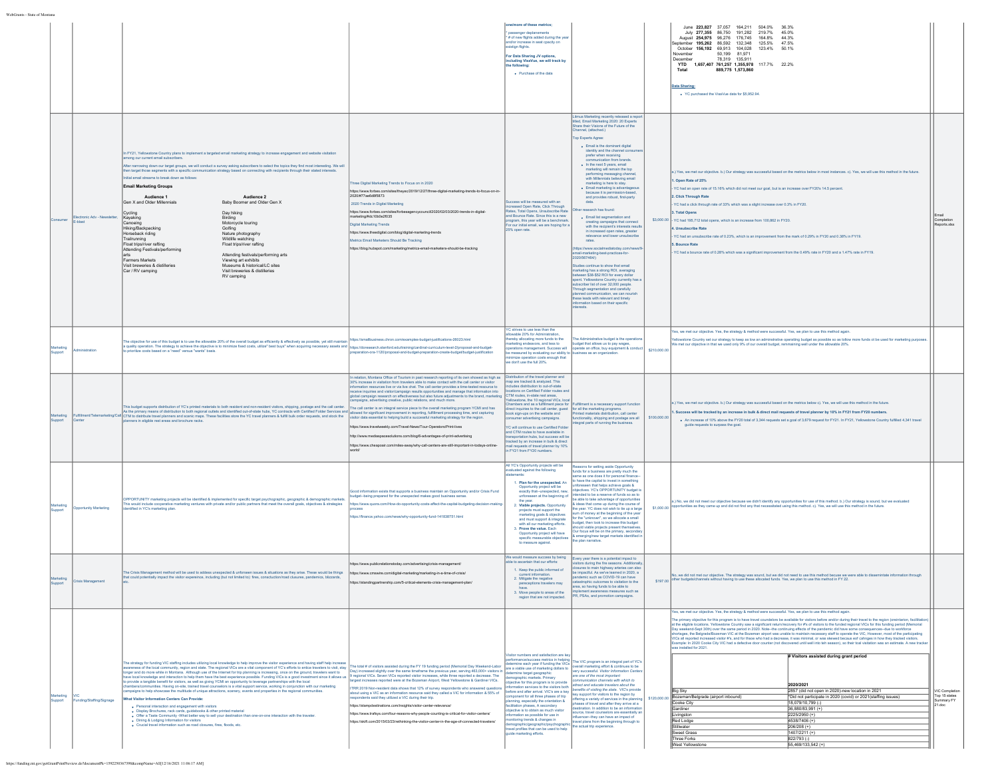|          |                                            |                                                                                                                                                                                                                                                                                                                                                                                                                                                                                                                                                                                                                                                                                                                                                                                                                                                                                                                                                                                                                                                                                                                                                                                      |                                                                                                                                                                                                                                                                                                                                                                                                                                                                                                                                                                                                                                                                                                                                                                                                                                                                                                                                                                                                                                                                                                          | one/more of these metrics:<br># of new flights added during the year<br>d/or increase in seat cpacity on<br>istign flights.<br>For Data Sharing JV options<br>including VisaVue, we will track by<br>the following:<br>. Purchase of the data                                                                                                                                                                                                                                                                                                                                                                                          |                                                                                                                                                                                                                                                                                                                                                                                                                                                                                                                                                                                                                                                                                                                                                                                                                                                                                                                                                                                                                                                                                                                                                                                                                             |              | June 223.827 37.057 164.211 504.0%<br>36.3%<br>July 277,355 86,750 191,282 219.7%<br>45.0%<br>August 254,975 96,276 176.745<br>164.8% 44.3%<br>eptember 195,262 86,592 132,348<br>125.5%<br>47.5%<br>October 156,192 69,913 104,028 123.4% 50.1%<br>November<br>50.199 81.971<br>December<br>78 319 135 911<br>YTD 1,657,407 761,257 1,355,978 117.7% 22.2%<br>889,775 1,573,860<br>Total<br>Data Sharing:<br>. YC purchased the VisaVue data for \$5,952.94                                                                                                                                                                                                                                                                                                                                                                                                                                                                                                                                                                                                                                                                                                                                                                                                                                                                                                                                                                                                                                                                                                                                                                                                          |                                                          |
|----------|--------------------------------------------|--------------------------------------------------------------------------------------------------------------------------------------------------------------------------------------------------------------------------------------------------------------------------------------------------------------------------------------------------------------------------------------------------------------------------------------------------------------------------------------------------------------------------------------------------------------------------------------------------------------------------------------------------------------------------------------------------------------------------------------------------------------------------------------------------------------------------------------------------------------------------------------------------------------------------------------------------------------------------------------------------------------------------------------------------------------------------------------------------------------------------------------------------------------------------------------|----------------------------------------------------------------------------------------------------------------------------------------------------------------------------------------------------------------------------------------------------------------------------------------------------------------------------------------------------------------------------------------------------------------------------------------------------------------------------------------------------------------------------------------------------------------------------------------------------------------------------------------------------------------------------------------------------------------------------------------------------------------------------------------------------------------------------------------------------------------------------------------------------------------------------------------------------------------------------------------------------------------------------------------------------------------------------------------------------------|----------------------------------------------------------------------------------------------------------------------------------------------------------------------------------------------------------------------------------------------------------------------------------------------------------------------------------------------------------------------------------------------------------------------------------------------------------------------------------------------------------------------------------------------------------------------------------------------------------------------------------------|-----------------------------------------------------------------------------------------------------------------------------------------------------------------------------------------------------------------------------------------------------------------------------------------------------------------------------------------------------------------------------------------------------------------------------------------------------------------------------------------------------------------------------------------------------------------------------------------------------------------------------------------------------------------------------------------------------------------------------------------------------------------------------------------------------------------------------------------------------------------------------------------------------------------------------------------------------------------------------------------------------------------------------------------------------------------------------------------------------------------------------------------------------------------------------------------------------------------------------|--------------|-----------------------------------------------------------------------------------------------------------------------------------------------------------------------------------------------------------------------------------------------------------------------------------------------------------------------------------------------------------------------------------------------------------------------------------------------------------------------------------------------------------------------------------------------------------------------------------------------------------------------------------------------------------------------------------------------------------------------------------------------------------------------------------------------------------------------------------------------------------------------------------------------------------------------------------------------------------------------------------------------------------------------------------------------------------------------------------------------------------------------------------------------------------------------------------------------------------------------------------------------------------------------------------------------------------------------------------------------------------------------------------------------------------------------------------------------------------------------------------------------------------------------------------------------------------------------------------------------------------------------------------------------------------------------|----------------------------------------------------------|
|          | sctronic Adv - Newsletter<br><b>F.hlad</b> | In FY21. Yellowstone Country plans to implement a targeted email marketing strategy to increase engagement and website visitation<br>ng our current email subs<br>ring down our target groups, we will conduct a survey asking subscribers to select the topics they find most interesting. We will<br>then target those segments with a specific communication strategy based on connecting with recipients through their stated inter<br>tial email streams to break down as follows:<br><b>Email Marketing Groups</b><br>Audience 1<br>Audience 2<br>Gen X and Older Millennials<br>Baby Boomer and Older Gen X<br>Day hiking<br>Cycling<br>Kayaking<br>Birding<br>Canoeino<br>Motorcycle touring<br>Golfing<br>Hiking/Backpacking<br>Horseback riding<br>Nature photography<br>Trailrunning<br>Wildlife watching<br>Float trips/river rafting<br>Float trips/river rafting<br>Attending Festivals/performing<br>Attending festivals/performing arts<br>arts<br>Farmers Markets<br>Viewing art exhibits<br>Visit breweries & distilleries<br>Museums & historical/LC sites<br>Car / RV camping<br>Visit breweries & distilleries<br>RV camping                                    | hree Digital Marketing Trends to Focus on in 2020<br>https://www.forbes.com/sites/theyec/2019/12/27/three-digital-marketing-trends-to-focus-on-in<br>2020/#77ae6d8f5873<br>2020 Trends in Digital Marketing<br>https://www.forbes.com/sites/forbesagencycouncil/2020/02/03/2020-trends-in-digital-<br>rketing/#dc10b0e2f035<br>ligital Marketing Trends<br>ttps://www.theedigital.com/blog/digital-marketing-trends<br>trics Email Marketers Should Be Tracking<br>ttps://blog.hubspot.com/marketing/metrics-email-marketers-should-be-tracking                                                                                                                                                                                                                                                                                                                                                                                                                                                                                                                                                          | ess will be measured with an<br>reased Open Rate, Click Through<br>tes, Total Opens, Unsubscribe Ra<br>and Bounce Rate. Since this is a new<br>ogram, this year will be a benchmark<br>For our initial email, we are hoping for a<br>25% open rate                                                                                                                                                                                                                                                                                                                                                                                     | Litmus Marketing recently released a rep<br>titled, Email Marketing 2020: 20 Experts<br>Share their Visions of the Future of the<br>hannel, (attached.)<br>op Experts Agree:<br>Fmail is the dominant digital<br>identity and the channel consu<br>prefer when receiving<br>nication from brands<br>. In the next 5 years, email<br>narketing will remain the top<br>performing messaging channel<br>with Millennials believing email<br>marketing is here to stay.<br>· Email marketing is advantageou<br>because it is permise<br>and provides robust, first-party<br>arch has found:<br>· Email list segmentation and<br>creating campaigns that connect<br>with the recipient's interests result<br>in increased open rates, greater<br>relevance and lower unsubscribe<br>rates.<br>ttps://www.socialm<br>il-marketing-best-practices-for-<br>2020/567464/1<br>dies continue to show that email<br>tarketing has a strong ROI, averaging<br>veen \$38-\$52 ROI for every dolla<br>pent. Yellowstone Country currently has a<br>bscriber list of over 32,000 people<br>rough segmentation and carefully<br>aned communication, we can nourish<br>ese leads with relevant and timely<br>ormation based on their specific |              | a.) Yes, we met our objective. b.) Our strategy was successful based on the metrics below in most instances. c). Yes, we will use this method in the future.<br>1. Open Rate of 25%<br>YC had an open rate of 15.16% which did not meet our goal, but is an increase over FY20's 14.5 percent.<br>2. Click Through Rate<br>YC had a dick through rate of 33% which was a slight increase over 0.3% in FY20.<br>3. Total Opens<br>\$3,000.00 . YC had 195,712 total opens, which is an increase from 100,862 in FY20.<br>. Unsubscribe Rate<br>YC had an unsubscribe rate of 0.23%, which is an improvement from the mark of 0.29% in FY20 and 0.38% in FY19.<br>5. Bounce Rate<br>YC had a bounce rate of 0.28% which was a significant improvement from the 0.49% rate in FY20 and a 1.47% rate in FY19.                                                                                                                                                                                                                                                                                                                                                                                                                                                                                                                                                                                                                                                                                                                                                                                                                                                             | Completion<br>orts.xlsx                                  |
|          | ninistration                               | e objective for use of this budget is to use the allowable 20% of the overall budget as efficiently & effectively as possible, yet still maintain<br>a quality operation. The strategy to achieve the objective is to minimize fixed costs, utilize" best buys" when acquiring necessary assets and<br>irioritize costs based on a "need" versus "wants" basis                                                                                                                                                                                                                                                                                                                                                                                                                                                                                                                                                                                                                                                                                                                                                                                                                       | https://smallbusiness.chron.com/examples-budget-justifications-26023.htm<br>ttps://doresearch.stanford.edu/training/cardinal-curriculum-level-2/proposal-and-budget<br>paration-ora-1120/proposal-and-budget-preparation-create-budget/budget-justification                                                                                                                                                                                                                                                                                                                                                                                                                                                                                                                                                                                                                                                                                                                                                                                                                                              | YC strives to use less than the<br>owable 20% for Administrati<br>hereby allocating more funds to the<br>narketing endeavors, and less to<br>erations management. Success will<br>measured by evaluating our ability to<br>imize operation costs enough that<br>don't use the full 20%.                                                                                                                                                                                                                                                                                                                                                | he Administrative budget is the operation<br>sudget that allows us to pay wages,<br>operate an office, buy equipment & conduc<br>ness as an organization                                                                                                                                                                                                                                                                                                                                                                                                                                                                                                                                                                                                                                                                                                                                                                                                                                                                                                                                                                                                                                                                    | \$210,000.0  | (es, we met our objective. Yes, the strategy & method were successful. Yes, we plan to use this method again<br>ellowstone Country set our strategy to keep as low an adminstrative operating budget as possible so as tollow more funds ot be used for marketing purposes<br>We met our objective in that we used only 9% of our overall budget, remmaining well under the allowable 20%.                                                                                                                                                                                                                                                                                                                                                                                                                                                                                                                                                                                                                                                                                                                                                                                                                                                                                                                                                                                                                                                                                                                                                                                                                                                                            |                                                          |
| innor    |                                            | This budget supports distribution of YC's printed materials to both resident and non-resident visitors, shipping, postage and the call center.<br>As the primary means of distribution to both regional outlets and dentified ou<br>ers in eligible rest areas and brochure racks                                                                                                                                                                                                                                                                                                                                                                                                                                                                                                                                                                                                                                                                                                                                                                                                                                                                                                    | n relation, Montana Office of Tourism in past research reporting of its own showed as high as<br>60% increase in visitation from travelers able to make contact with the call center or visitor<br>ation resources live or via live chat. The call center provides a time-tested resource to<br>ceive inquiries and visitor/campaign results opportunities and manage that information into<br>global campaign research on effectiveness but also future adjustments to the brand, marketing<br>campaigns, advertising creative, public relations, and much more.<br>The call center is an integral service piece to the overall marketing program YCMI and has<br>allowed for significant improvement in reporting, fulfillment processing time, and capturing<br>visitor data essential to helping build a successful marketing strategy for the region.<br>ttps://www.travelweekly.com/Travel-News/Tour-Operators/Print-live<br>tp://www.mediaspacesolutions.com/blog/6-advantages-of-print-advertising<br>https://www.cheapoair.com/miles-away/why-call-centers-are-still-important-in-todays-online | Distribution of the travel planner and<br>ap are tracked & analyzed. This<br>udes distribution to out-of-state<br>tions on Certified Folder routes a<br>CTM routes, in-state rest areas,<br>-<br>Illowstone, the 10 regional VICs, local<br>hambers and as a fulfillment piece for<br>nsumer advertising campaigns.<br>YC will continue to use Certified Folde<br>and CTM routes to have available in<br>sportation hubs, but success will b<br>cked by an increase in bulk & direct<br>ail requests of travel planner by 109<br>FY21 from FY20 numbers                                                                                | fillment is a necessary support function<br>inect inquiries to the call center, guest for all the marketing programs.<br>look sign-ups on the website and Printed materials distribution, call center<br>unctionality, shipping and postage are all<br>egral parts of running the business.                                                                                                                                                                                                                                                                                                                                                                                                                                                                                                                                                                                                                                                                                                                                                                                                                                                                                                                                 | \$100,000.00 | a.) Yes, we met our objective. b.) Our strategy was successful based on the metrics below c). Yes, we will use this method in the future.<br>. Success will be tracked by an increase in bulk & direct mail requests of travel planner by 10% in FY21 from FY20 numbers.<br>. An increase of 10% above the FY20 total of 3,344 requests set a goal of 3,679 request for FY21. In FY21, Yellowstone Country fulfilled 4,341 travel<br>guide requests to surpass the goal                                                                                                                                                                                                                                                                                                                                                                                                                                                                                                                                                                                                                                                                                                                                                                                                                                                                                                                                                                                                                                                                                                                                                                                               |                                                          |
|          | ortunity Marketing                         | OPPORTUNITY marketing projects will be identified & implemented for specific target psychographic, geographic & demographic markets<br>s would include cooperative marketing ventures with private and/or public partners that meet the overall goals, objectives & strategies<br>intified in YC's marketing plan.                                                                                                                                                                                                                                                                                                                                                                                                                                                                                                                                                                                                                                                                                                                                                                                                                                                                   | od information exists that supports a business maintain an Opportunity and/or Crisis Fund<br>dget-being prepared for the unexpected makes good business sense<br>s://www.quora.com/How-do-opportunity-costs-affect-the-capital-budgeting-de<br>tps://finance.yahoo.com/news/why-opportunity-fund-141838751.html                                                                                                                                                                                                                                                                                                                                                                                                                                                                                                                                                                                                                                                                                                                                                                                          | All YC's Opportunity projects will be<br>aluated against the following<br>1. Plan for the unexpected, An<br>pportunity project will be<br>exactly that-unexpected, nev<br>nforeseen at the beginning of<br>the year.<br>2. Viable projects. Opportunity<br>projects must support the<br>marketing goals & objectives<br>and must support & integrate<br>with all our marketing efforts.<br>3. Prove the value. Each<br>Opportunity project will have<br>specific measurable objectives<br>to measure against.                                                                                                                          | ons for setting aside Opportunity<br>ands for a business are pretty much the<br>ame as one does it for personal finance<br>have the capital to invest in something<br>eseen that helps achieve goals &<br>lectives. YC's OPPORTUNITY budget i<br>ded to be a reserve of funds so as to<br>able to take advantage of opportunitie<br>deas that come up during the course o<br>he year. YC does not wish to tie up a large<br>um of money at the beginning of the yea<br>or the "unknown", so we allocate a small<br>udget, then look to increase this budget<br>ould viable projects present themselves<br>Our focus will be on the primary, secondar<br>emerging/new target markets identified<br>he plan narrative.                                                                                                                                                                                                                                                                                                                                                                                                                                                                                                        | \$1,000,00   | i.) No, we did not meet our objective because we didn't identify any opportunities for use of this method. b.) Our strategy is sound, but we evaluated<br>rtunities as they came up and did not find any that necessitated using this method. c). Yes, we will use this method in the future.                                                                                                                                                                                                                                                                                                                                                                                                                                                                                                                                                                                                                                                                                                                                                                                                                                                                                                                                                                                                                                                                                                                                                                                                                                                                                                                                                                         |                                                          |
| Support  | Crisis Management                          | he Crisis Management method will be used to addess unexpected & unforseen issues & situations as they arise. These would be things<br>that could potentially impact the visitor expereince, including (but not limited to); fires, consctuction/road clusures, pandemics, blizzards,                                                                                                                                                                                                                                                                                                                                                                                                                                                                                                                                                                                                                                                                                                                                                                                                                                                                                                 | ps://www.publicrelationstoday.com/advertising/crisis-management<br>https://www.cmswire.com/digital-marketing/marketing-in-a-time-of-crisis/<br>https://standingpartnership.com/5-critical-elements-crisis-management-plan/                                                                                                                                                                                                                                                                                                                                                                                                                                                                                                                                                                                                                                                                                                                                                                                                                                                                               | We would measure success by being<br>de to ascertain that our efforts:<br>1. Keep the public informed of<br>current information<br>2. Mitigate the negative<br>pereceptions travelers may<br>3. Move people to areas of the<br>region that are not impacted.                                                                                                                                                                                                                                                                                                                                                                           | Every year there is a potential impact to<br>ors during the fire seasons. Additional<br>osures to main highway arteries can also<br>s impactful. As we've learned in 2020, a<br>indemic such as COVID-19 can have<br>trophic outcomes to visitation to the<br>who funds to be<br>implement awareness measures such as<br>PR, PSAs, and promotion campaigns.                                                                                                                                                                                                                                                                                                                                                                                                                                                                                                                                                                                                                                                                                                                                                                                                                                                                 | \$197.00     | No, we did not met our objective. The strategy was sound, but we did not need to use this method becuse we were able to dissemintate information through<br>er budgets/channels without having to use these allocated funds. Yes, we plan to use this method in FY 22.                                                                                                                                                                                                                                                                                                                                                                                                                                                                                                                                                                                                                                                                                                                                                                                                                                                                                                                                                                                                                                                                                                                                                                                                                                                                                                                                                                                                |                                                          |
| arketinc | Inding/Staffing/Signage                    | The strategy for funding VIC staffing includes utilizing local knowledge to help improve the visitor experience and having staff help incres<br>awareness of the local community, region and state. The regional VICs are a vital component of YC's efforts to entice travelers to visit, stay<br>Jonger and do more white in Montans. Although use of the internet for trip plan<br>provide a tangible benefit for visitors, as well as giving YCMI an opportunity to leverage partnerships with the local<br>ambers/communities. Having on-site, trained travel counselors is a vital support service, working in co<br>impaigns to help showcase the multitude of unique attractions, scenery, events and properties in the regional communities.<br>What Visitor Information Centers Can Provide<br>. Personal interaction and engagement with visitors<br>· Display Brochures, rack cards, guidebooks & other printed material<br>- Coffer a Taste Community -What better way to sell your destination than one-on-one interaction with the traveler.<br>- Dining & Lodging Information for visitors<br>. Crucial travel information such as road closures, fires, floods, etc. | total # of visitors assisted during the FY 19 funding period (Memorial Day Wee<br>nd-Labo<br>ased slightly over the same timeframe the previous year, serving 463,000+ visitors in<br>gional VICs. Seven VICs reported visitor increases, while three reported a decrease. The<br>est increases reported were at the Bozeman Airport, West Yellowstone & Gardiner VICs.<br>TRR 2019 Non-resident data shows that 12% of survey respondents who answered question<br>extra state and an information resource said they called a VIC for information & 55% of<br>pondents said they utilized a VIC during their trip.<br>tps://stampdestinations.com/insights/visitor-center-relevance<br>ttps://www.trafsys.com/four-reasons-why-people-counting-is-critical-for-visitor-centers/<br>https://skift.com/2015/03/23/rethinking-the-visitor-center-in-the-age-of-connected-travelers/                                                                                                                                                                                                                        | sitor numbers and satisfaction are ke<br>ermine each vear if funding the VICs<br>a viable use of marketing dollars to<br>mine target geographic<br>graphic markets. Primary<br>ective for this program is to provide<br>nation services to the visitors both<br>fore and after arrival. VIC's are a key<br>opponent for all three phases of trip<br>ning, especially the orientation &<br>ilitation phases. A secondary<br>ctive is to obtain as much visitor<br>mation as possible for use in<br>toring trends & changes in<br>nographic/geographic/psychograpl<br>avel profiles that can be used to help<br>guide marketing efforts. | xmance/success metrics in helping<br>The VIC program is an integral part of YC's<br>overall marketing effort & continues to be<br>very successful. Visitor Information Centers<br>are one of the most important<br>munication channels with which to<br>attract and educate travelers about the<br>enefits of visiting the state. VIC's provide<br>key support for visitors to the region by<br>offering a variety of services in the plannin<br>hases of travel and after they arrive at a<br>tination. In addition to be an informatio<br>urce, travel counselors are essentially a<br>fluencer--they can have an impact of<br>ivel plans from the beginning through to<br>the actual trip experience                                                                                                                                                                                                                                                                                                                                                                                                                                                                                                                     |              | Yes, we met our objective. Yes, the strategy & method were successful. Yes, we plan to use this method again.<br>The primary objective for this program is to have travel coundelors be available for visitors before and/or during their travel to the region (oreintarion, facilitatio<br>at the eligible locations. Yellowstone Country saw a significant return/recovery for #'s of visitors to the funded regional VICs for this funding period (Memorial<br>Day weekend-Sept 30th) over the same period in 2020. Note-the continuing effects of the pandemic did have some consequences-due to workforce<br>ortages, the Belgrade/Bozeman VIC at the Bozeman airport was unable to maintain necessary staff to operate the VIC. However, most of the participating<br>VICs all reported increased visitor #'s, and for thsoe who had a decrease, it was minimal, or was skewed becaus eof cannges in how they tracked visitors.<br>Example: In 2020 Cooke City VIC had a defective door counter (not discovered until well into teh season), so their toal visitation was an estimate. A new tracke<br>was installed for 2021.<br>Wisitors assisted during grant period<br>2020/2021<br>2857 (did not open in 2020)-new location in 2021<br><b>Big Sky</b><br>\$120,000.00 Bozeman/Belgrade (airport inbound)<br>*Did not participate in 2020 (covid) or 2021(staffing issues)<br>18,079/10,799 (-)<br>Cooke City<br>36,880/83,991 (+)<br>Gardiner<br>2225/2950 (+)<br>Livingston<br>4538/7406 (+)<br>Red Lodge<br>Stillwater<br>$206/208 (+)$<br>Sweet Grass<br>$1407/2211 (+)$<br>Three Forks<br>822/793 (-)<br>55,469/133,542 (+)<br><b>West Yellowstone</b> | VIC Completio<br>Top 15 states<br>ummary FY<br>$21.$ doc |

WebGrants - State of Montana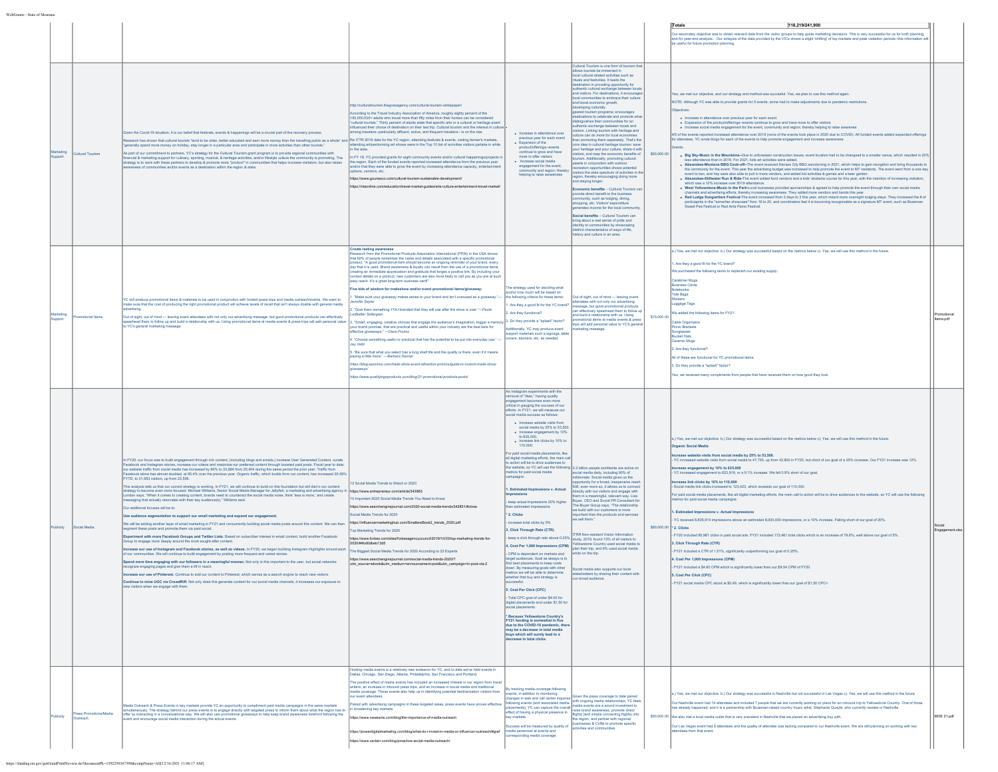|                  |                         |                                                                                                                                                                                                                                                                                                                                                                                                                                                                                                                                                                                                                                                                                                                                                                                                                                                                                                                                                                                                                                                                                                                                                                                                                                                                                                                                                                                                                                                                                                                                                                                                                                                                                                                                                                                                                                                                                                                                                                                                                                                                                                                                                                        |                                                                                                                                                                                                                                                                                                                                                                                                                                                                                                                                                                                                                                                                                                                                                                                                                                                                                                                                                                                                                                                                                                                                                                                                                                                                                                                                                                                                                                                                                                                                                                                                                                                                                                                                                                  |                                                                                                                                                                                                                                                                                                                                                                                                                                                                                                                                                                                                                                                                                                                                                                                                                                                                                                                                                                                                                                                                                                                                                                                                                                                                                                                               |                                                                                                                                                                                                                                                                                                                                                                                                                                                                                                                                                                                                                                                                                                                                                                                                                                                                                                                                                                                                                                                                                                                                                                                                                                                                                                                                                                                                                                                                       |             | 118,219/241,900<br>Totals                                                                                                                                                                                                                                                                                                                                                                                                                                                                                                                                                                                                                                                                                                                                                                                                                                                                                                                                                                                                                                                                                                                                                                                                                                                                                                                                                                                                                                                                                                                                                                                                                                                                                                                                                                                                                                                                                                                                                                                                                                                                                                                                                                                                                                                    |                          |
|------------------|-------------------------|------------------------------------------------------------------------------------------------------------------------------------------------------------------------------------------------------------------------------------------------------------------------------------------------------------------------------------------------------------------------------------------------------------------------------------------------------------------------------------------------------------------------------------------------------------------------------------------------------------------------------------------------------------------------------------------------------------------------------------------------------------------------------------------------------------------------------------------------------------------------------------------------------------------------------------------------------------------------------------------------------------------------------------------------------------------------------------------------------------------------------------------------------------------------------------------------------------------------------------------------------------------------------------------------------------------------------------------------------------------------------------------------------------------------------------------------------------------------------------------------------------------------------------------------------------------------------------------------------------------------------------------------------------------------------------------------------------------------------------------------------------------------------------------------------------------------------------------------------------------------------------------------------------------------------------------------------------------------------------------------------------------------------------------------------------------------------------------------------------------------------------------------------------------------|------------------------------------------------------------------------------------------------------------------------------------------------------------------------------------------------------------------------------------------------------------------------------------------------------------------------------------------------------------------------------------------------------------------------------------------------------------------------------------------------------------------------------------------------------------------------------------------------------------------------------------------------------------------------------------------------------------------------------------------------------------------------------------------------------------------------------------------------------------------------------------------------------------------------------------------------------------------------------------------------------------------------------------------------------------------------------------------------------------------------------------------------------------------------------------------------------------------------------------------------------------------------------------------------------------------------------------------------------------------------------------------------------------------------------------------------------------------------------------------------------------------------------------------------------------------------------------------------------------------------------------------------------------------------------------------------------------------------------------------------------------------|-------------------------------------------------------------------------------------------------------------------------------------------------------------------------------------------------------------------------------------------------------------------------------------------------------------------------------------------------------------------------------------------------------------------------------------------------------------------------------------------------------------------------------------------------------------------------------------------------------------------------------------------------------------------------------------------------------------------------------------------------------------------------------------------------------------------------------------------------------------------------------------------------------------------------------------------------------------------------------------------------------------------------------------------------------------------------------------------------------------------------------------------------------------------------------------------------------------------------------------------------------------------------------------------------------------------------------|-----------------------------------------------------------------------------------------------------------------------------------------------------------------------------------------------------------------------------------------------------------------------------------------------------------------------------------------------------------------------------------------------------------------------------------------------------------------------------------------------------------------------------------------------------------------------------------------------------------------------------------------------------------------------------------------------------------------------------------------------------------------------------------------------------------------------------------------------------------------------------------------------------------------------------------------------------------------------------------------------------------------------------------------------------------------------------------------------------------------------------------------------------------------------------------------------------------------------------------------------------------------------------------------------------------------------------------------------------------------------------------------------------------------------------------------------------------------------|-------------|------------------------------------------------------------------------------------------------------------------------------------------------------------------------------------------------------------------------------------------------------------------------------------------------------------------------------------------------------------------------------------------------------------------------------------------------------------------------------------------------------------------------------------------------------------------------------------------------------------------------------------------------------------------------------------------------------------------------------------------------------------------------------------------------------------------------------------------------------------------------------------------------------------------------------------------------------------------------------------------------------------------------------------------------------------------------------------------------------------------------------------------------------------------------------------------------------------------------------------------------------------------------------------------------------------------------------------------------------------------------------------------------------------------------------------------------------------------------------------------------------------------------------------------------------------------------------------------------------------------------------------------------------------------------------------------------------------------------------------------------------------------------------------------------------------------------------------------------------------------------------------------------------------------------------------------------------------------------------------------------------------------------------------------------------------------------------------------------------------------------------------------------------------------------------------------------------------------------------------------------------------------------------|--------------------------|
|                  |                         |                                                                                                                                                                                                                                                                                                                                                                                                                                                                                                                                                                                                                                                                                                                                                                                                                                                                                                                                                                                                                                                                                                                                                                                                                                                                                                                                                                                                                                                                                                                                                                                                                                                                                                                                                                                                                                                                                                                                                                                                                                                                                                                                                                        |                                                                                                                                                                                                                                                                                                                                                                                                                                                                                                                                                                                                                                                                                                                                                                                                                                                                                                                                                                                                                                                                                                                                                                                                                                                                                                                                                                                                                                                                                                                                                                                                                                                                                                                                                                  |                                                                                                                                                                                                                                                                                                                                                                                                                                                                                                                                                                                                                                                                                                                                                                                                                                                                                                                                                                                                                                                                                                                                                                                                                                                                                                                               |                                                                                                                                                                                                                                                                                                                                                                                                                                                                                                                                                                                                                                                                                                                                                                                                                                                                                                                                                                                                                                                                                                                                                                                                                                                                                                                                                                                                                                                                       |             | Our secondary objective was to obtain relevant data from the visitor groups to help guide marketing decisions. This is very successful for us for both planning,<br>ind for year-end analysis. Our anlaysis of the data provided by the VICs shows a slight 'shifting' of top markets and peak visitation periods--this info<br>useful for future pr                                                                                                                                                                                                                                                                                                                                                                                                                                                                                                                                                                                                                                                                                                                                                                                                                                                                                                                                                                                                                                                                                                                                                                                                                                                                                                                                                                                                                                                                                                                                                                                                                                                                                                                                                                                                                                                                                                                         |                          |
| pport            | <b>Jultural Tourism</b> | Siven the Covid-19 situation, it is our belief that festivals, events & happenings will be a crucial part of the recovery process.<br>search has shown that cultural tourist "tend to be older, better educated and earn more money than the travelling public as a whole" and Re ITTR 2019 data for the YC region, attending festivals & events, visiting farmer's<br>nerally spend more money on holiday, stay longer in a particular area and participate in more activities than othe<br>As part of our commitment to partners, YC's strategy for the Cultural Tourism grant program is to provide regional communities with<br>financial & marketing support for culinary, sporting, musical, & heritage activities, and/or lifestyle culture the community is promoting. The<br>strategy is to work with these partners to develop & promote more "product" in communities that helps increase visitation, but also raises<br>eness of communities and/or events as a destination within the region & state.                                                                                                                                                                                                                                                                                                                                                                                                                                                                                                                                                                                                                                                                                                                                                                                                                                                                                                                                                                                                                                                                                                                                                     | c//culturaltourism.thegossagency.com/cultural-tourism-whitepape<br>ording to the Travel Industry Association of America, roughly eighty percent of the<br>150,000,000+ adults who travel more than fifty miles from their homes can be considere<br>.<br>cultural tourists." Thirty percent of adults state that specific arts or a cultural or heritage event<br>ifluenced their choice of destination on their last trip. Cultural tourism and the interest in cultur<br>ong travelers--particularly affluent, active, and frequent travelers-- is on the rise.<br>FY 19, YC provided grants for eight community events and/or cultural hap<br>e region. Each of the funded events reported increased attendance from the previous year<br>d/or that they were able to grow the event by increasing attendance capacity, entertain<br>ans, vendors, etc.<br>lps://www.gounesco.com/cultural-tourism-sustainable-development/<br>tos://ntaonline.com/education/travel-market-guides/arts-culture-entertainment-travel-market                                                                                                                                                                                                                                                                                                                                                                                                                                                                                                                                                                                                                                                                                                                                    | · Increase in attendance over<br>revious year for each event<br>. Expansion of the<br>product/offerings--events<br>continue to grow and have<br>more to offer visitors<br>$\bullet$ Increase social media<br>engagement for the event,<br>unity and region; there<br>helping to raise awareness                                                                                                                                                                                                                                                                                                                                                                                                                                                                                                                                                                                                                                                                                                                                                                                                                                                                                                                                                                                                                               | Cultural Tourism is one form of tourism that<br>ws tourists be immersed in<br>local cultural related activities such as<br>rituals and festivities. It leads the<br>stination in providing opportunity for<br>authentic cultural exchange betw<br>and visitors. For destinations, it encourag<br>ocal communities to embrace their cultur<br>and boost economic growth,<br>developing culturally<br>geared tourism programs; encourages<br>destinations to celebrate and promote wha<br>inguishes their communities for an<br>uthentic exchange between locals and<br>tors. Linking tourism with heritage and<br>iture can do more for local econo<br>promoting them separately. That's the<br>re idea in cultural heritage tourism: save<br>ur heritage and your culture, share it with<br>itors, and reap the economic benefits of<br>urism. Additionally, promoting cultural<br>rets in conjunction with outdoor<br>eation opportunities shows potential<br>itors the wide spectrum of activities in the<br>region, thereby encouraging doing more<br>and staying longer.<br>nomic benefits - Cultural Tourism ca<br>provide direct benefit to the business<br>nunity, such as lodging, dining,<br>shopping, etc. Visitors' expenditure<br>pcome for the local or<br>Social benefits - Cultural Tourism can<br>ting about a real sense of pride and<br>tity to communities by show<br>distinct characteristics of ways of life,<br>history and culture in an area. | \$50,000.00 | (es, we met our objective, and our strategy and method was succesful. Yes, we plan to use this method again.<br>NOTE: Although YC was able to provide grants for 5 events, some had to make adjustments due to pandemic restrictions.<br>. Increase in attendance over previous year for each event<br>Expansion of the product/offerings--events continue to grow and have more to offer visitors<br>• Increase social media engagement for the event, community and region; thereby helping to raise awar<br>4/5 of the events reported increased attendance over 2019 (none of the events took place in 2020 due to COVID). All funded events added expanded offerings<br>or attendees. YC wrote blogs for each of the events to help promote engagement and increase at<br>. Big Sky-Music in the Mountains-Due to unforeseen construction issues, event location had to be changesd to a smaller venue, which resulted in 20%<br>attendance than in 2019. For 2021, kids art activities were added.<br>. Absarokee-Montana BBQ Cook-off--The event received Kansas City BBQ sanctioning in 2021, which helps to gain recogition and bring thousands to<br>the community for the event. This year the advertising budget was increased to help promote the event to MT residents. The event went from a one-day<br>event to two, and hey were also able to pull in more vendors, and added kid activities & games and a beer garden.<br>• Absarokee-Stillwater Run & Ride-The event added food vendors and a kids' obstactiv course for this year, w<br>which saw a 10% increase over 2019 attendance.<br>Which saw a 10% increase over 2019 attendance.<br>West Yellowstone-Music in the Park-Local buinesses provided sponaorships & agreed to help promote the event through their own so<br>annels and advertising efforts, thereby increasing awareness. They added more vendors and bands this year.<br>. Red Lodge Songwriters Festival-The event increased from 2 days to 3 this year, which meant more overnight lodging stays. They increased the # of<br>particiapnts in the "sonwriter showcase" from 16 to 20, and coordinators feel it is becoming recognizable as a signature MT event, such as Bozeman<br>Sweet Pea Festival or Red Ants Pants Festival. |                          |
| rketina<br>pport | motional Items          | YC will produce promotional items & materials to be used in conjunction with hosted press trips and media outreach/events. We want to<br>ake sure that the cost of producing the right promotional product will achieve levels of recall that isn't always doable with general media<br>Out of sight, out of mind - leaving event attendees with not only our advertising message, but good promotional products can effectively<br>spearhead them to follow up and build a relationship with us. Using promotional items<br>o YC's general marketing message.                                                                                                                                                                                                                                                                                                                                                                                                                                                                                                                                                                                                                                                                                                                                                                                                                                                                                                                                                                                                                                                                                                                                                                                                                                                                                                                                                                                                                                                                                                                                                                                                         | <b>Create lasting awareness</b><br>Research from the Promotional Products Association International (PPAI) in the USA shows<br>hat 62% of people remember the name and details associated with a specific promo<br>and on a complex current and internal become an ongoing reminder of your brand, every<br>product. "A good promotional item should become an ongoing reminder of your brand, every<br>day that it is used. Brand awareness & loyally<br>ting an immediate appreciation and gratitude that forges a positive link. By including your<br>tact details on a product, new customers are also more likely to call you as you are at such<br>sy reach. It's a great long-term business card!"<br>re bits of wisdom for tradeshow and/or event promotional items/giveaway.<br>lake sure your giveaway makes sense to your brand and isn't overused as a giveaway."<br>nifer Seyler<br>'Give them something YOU-branded that they will use after the show is over."-Paula<br>dbetter Sellergren<br>Smart, engaging, creative choices that engage the audience's imagination, trigger a mer<br>, and program and the process weak of the state of the state of the product of the state of the state of the state of the state of the state of the state of the state of the state of the state of the state of the state of<br>"Choose something useful or practical that has the potential to be put into everyday use."<br>lav Veltz<br>. "Be sure that what you select has a long shelf life and the quality is there, even if it means<br>aying a little more." —Barbara Sanner<br>ttps://blog.epromps.com/trade-show-event-attraction-promps/quide-to-custom-trade-show<br>ttps://www.gualitylogoproducts.com/blog/21-promotional-products-posts/ | he strategy used for deciding what<br>nd/or how much will be based on<br>e following criteria for these items:<br>Are they a good fit for the YC brand'<br>Are they functional?<br>Do they provide a "splash" factor?<br>ditionally, YC may produce event<br>port materials such a signage, tab<br>vers, banners, etc. as no                                                                                                                                                                                                                                                                                                                                                                                                                                                                                                                                                                                                                                                                                                                                                                                                                                                                                                                                                                                                  | lut of sight, out of mind - leaving ever<br>endees with not only our advertising<br>sage, but good promotional products<br>effectively spearhead them to follow up<br>and build a relationship with us. Using<br>otional items at media events & press<br>trips will add personal value to YC's gener.                                                                                                                                                                                                                                                                                                                                                                                                                                                                                                                                                                                                                                                                                                                                                                                                                                                                                                                                                                                                                                                                                                                                                                | \$10,000.00 | a.) Yes, we met our objective. b.) Our strategy was successful based on the metrics below c). Yes, we will use this method in the future.<br>Are they a good fit for the YC brand?<br>We purchased the following items to replenish our existing supply:<br>Carabiner Mugs<br>en<br>Business Cards<br>ebooks<br><b>Tote Bags</b><br>uggage Tags<br>We added the following items for FY21<br>Cable Organizers<br><b>Nonic Blankets</b><br>nglasses<br><b>Bucket Hats</b><br>eramic Mugs<br>2. Are they functional?<br>NI of these are functional for YC promotional items.<br>3. Do they provide a "splash" factor?<br>Yes, we received many compliments from people that have received them on how good they look.                                                                                                                                                                                                                                                                                                                                                                                                                                                                                                                                                                                                                                                                                                                                                                                                                                                                                                                                                                                                                                                                                                                                                                                                                                                                                                                                                                                                                                                                                                                                                           | tems.pdf                 |
| blicity          | cial Media              | In FY20, our focus was to build engagement through rich content, (including blogs and emails,) increase User Generated Content, curate<br>Facebook and Instagram stories, increase our videos and maximize our prefe<br>red content through boosted paid posts. Fiscal year to date,<br>our website traffic from social media has increased by 66% to 33,884 from 20,404 during the same period the prior year. Traffic from<br>Facebook alone has almost doubled, at 95.4% over the previous year. Organic traffic, which builds from our content, has increased 35.59%<br>FYTD, to 31,953 visitors, up from 23,556<br>his analysis tells us that our current strategy is working. In FY21, we will continue to build on this foundation but will dial in our content<br>strategy fo become even more focused. Michael Williams, Senior Social Media Manager for Jellyfish, a marketing and advertising agency in<br>London says, "When it comes to creating content, brands need to counteract the social<br>Our additional focuses will be to:<br>Use audience segmentation to support our email marketing and expand our engagement<br>We will be adding another layer of email marketing in FY21 and concurrently building social media posts around this content. We can then<br>egment these posts and promote them via paid social.<br>Experiment with more Facebook Groups and Twitter Lists. Based on subscriber interest in email content, build another Facebook<br>Group to engage more deeply around the most sought-after content<br>crease our use of Instagram and Facebook stories, as well as videos. In FY20, we began building Instagram Highlights around each<br>end more time engaging with our followers in a meaningful manner. Not only is this important to the user, but social networks<br>cognize engaging pages and give them a lift in reach.<br>crease our use of Pinterest. Continue to add our content to Pinterest, which serves as a search engine to reach new visitors.<br>intinue to mine UGC via CrowdRiff. Not only does this generate content for our social media channels, it inc<br>w visitors when we engage with them | 2 Social Media Trends to Watch in 2020<br>ttps://www.entrepreneur.com/article/343863<br>Important 2020 Social Media Trends You Need to Know<br>lps://www.searchenginejournal.com/2020-social-media-trends/342851/#close<br>ocial Media Trends for 2020<br>https://influencermarketinghub.com/SmallereBook2 trends 2020.pdf<br>Marketing Trends for 2020<br>ps://www.forbes.com/sites/forbesagencycouncil/2019/10/03/top-marketing-trends-for<br>20/#4bd0dbeb13d5<br>he Biggest Social Media Trends for 2020 According to 23 Experts<br>https://www.searchenginejournal.com/social-media-trends-2020/?<br>utm_source=ebook&utm_medium=announcement-post&utm_campaign=in-post-cta-2                                                                                                                                                                                                                                                                                                                                                                                                                                                                                                                                                                                                                                                                                                                                                                                                                                                                                                                                                                                                                                                                                | As Instagram experiments with the<br>removal of "likes," having quality<br>nent becomes even n<br>tical in gauging the success of our<br>fforts. In FY21, we will measure our<br>cial media success as follows:<br>· Increase website visits from<br>social media by 25% to 53,500<br>· Increase engagement by 10%<br>to 635,000.<br>· Increase link clicks by 10% to<br>110,000<br>or paid social media placements, lik<br>all digital marketing efforts, the main ca<br>to action will be to drive audiences to<br>he website, so YC will use the follow<br>etrics for paid social media<br>npaigns:<br>1. Estimated Impressions v. Actual<br>keep actual impressions 20% higher<br>* 2. Clicks<br>ncrease total clicks by 5%<br>3. Click Through Rate (CTR)<br>CPM is dependent on markets and<br>rget audiences. Goal as always is to<br>nd best placements to keep cost<br>own. By measuring goals with other<br>strics we will be able to determine<br>rether that buy and strategy is<br>essful.<br>5. Cost Per Click (CPC)<br>Total CPC goal of under \$4.00 fo<br>gital placements and under \$1.50 fo<br>* Because Yellowstone Country's<br>FY21 funding is somewhat in flux<br>due to the COVID-19 pandemic, the<br>may be a decrease in total media<br>uys which will surely lead to a<br>crease in total clicks. | 9 3.2 billion people worldwide are active on<br>ocial media daily, including 90% of<br>lennials. Social media gives us the<br>ortunity for a broad, inexpensive reach<br>Still, even more so, it allows us to connect<br>ectly with our visitors and engage with<br>m in a meaningful, relevant way. Lisa<br>wer. CEO and Social PR Consultant for<br>The Buyer Group says, "The relationship<br>we build with our customers is more<br>irtant than the products and services<br>we sell them."<br>RR Non-resident Visitor Inform<br>keep a click through rate above 0.25% study, 2019, found 13% of all visitors to<br>4. Cost Per 1,000 Impressions (CPM) Yellowstone Country used social media to the plan their trip, and 8% used social media<br>while on the trip.<br>cial media also supports our local<br>stakeholders by sharing their content with<br>our broad audience                                                                                                                                                                                                                                                                                                                                                                                                                                                                                                                                                                                    |             | i.) Yes, we met our objective. b.) Our strategy was successful based on the metrics below c). Yes, we will use this method in the future.<br><b>Organic Social Media</b><br>ease website visits from social media by 25% to 53,500.<br>YC increased website visits from social media to 47,793, up from 42,800 in FY20, but short of our goal of a 25% increase. Our FY21 increase was 12%.<br>n <mark>crease engagement by 10% to 635,000</mark><br>· YC increased engagement to 623,919, or a 9.1% increase. We fell 0.9% short of our goal.<br>rease link clicks by 10% to 110,000<br>Social media link clicks increased to 123,423, which exceeds our goal of 110,000.<br>For paid social media placements, like all digital marketing efforts, the main call to action will be to drive audiences to the website, so YC will use the following<br>ics for paid social media campaigns<br><b>Fstimated Impressions v. Actual Impressions</b><br>YC received 8,805,914 impressions above an estimated 8,000,000 impressions, or a 10% increase. Falling short of our goal of 20%.<br>seg con on 1-2. Clicks<br>-<br>Y20 included 95,981 clicks in paid social ads. FY21 included 172,461 total clicks which is an increase of 79.6%, well above our goal of 5%.<br>Click Through Rate (CTR)<br>FY21 included a CTR of 1.51%, significantly outperforming our goal of 0.25%.<br>1. Cost Per 1,000 Impressions (CPM)<br>- FY21 included a \$4.80 CPM which is significantly lower than our \$9.54 CPM of FY20.<br>5. Cost Per Click (CPC)<br>FY21 social media CPC stood at \$0.49, which is significantly lower than our goal of \$1.50 CPC>                                                                                                                                                                                                                                                                                                                                                                                                                                                                                                                                                                                                                               | Social<br>Engagement.xls |
| ublicity         | ess Promotions/Media    | dia Outreach & Press Events in key markets provide YC an opportunity to compliment paid media campaigns in the same markets<br>simultaneously. The strategy behind our press events is to engage directly with targeted press to inform them about what the region has to<br>offer by interacting in a conversational way. We will also use promotional giveaway<br>ent and encourage social media interaction during the actual events.                                                                                                                                                                                                                                                                                                                                                                                                                                                                                                                                                                                                                                                                                                                                                                                                                                                                                                                                                                                                                                                                                                                                                                                                                                                                                                                                                                                                                                                                                                                                                                                                                                                                                                                               | sting media events is a relatively new endeavor for YC, and to date we've held events in<br>allas, Chicago, San Diego, Atlanta, Philadelphia, San Francisco and Portland<br>le positive effect of media events has included an increased interest in our region from tra<br>iters, an increase in inbound press trips, and an increase in social media and traditional<br>hedia coverage. These events also help us in identifying potential familiarization visitors from<br>ir event attendees.<br>red with advertising campaigns in these targeted areas, press events have proven effective<br>broadening key markets.<br>lps://www.newswire.com/blog/the-importance-of-media-outreach<br>erdigitalmarketing.com/blog/what-do-i-invest-in-media-cr-influencer-outreach/#gref<br>tps://po<br>lps://www.certain.com/blog/proactive-social-media-outreachi                                                                                                                                                                                                                                                                                                                                                                                                                                                                                                                                                                                                                                                                                                                                                                                                                                                                                                      | tracking media coverage following<br>nts, in addition to mo<br>anges in web and call center inquiries<br>effect of having a physical presence in<br>ey markets.<br>cess will be measured by quality of<br>tedia personnel at events and<br>onding media coverage                                                                                                                                                                                                                                                                                                                                                                                                                                                                                                                                                                                                                                                                                                                                                                                                                                                                                                                                                                                                                                                              | ven the press coverage to date paired<br>ges in web and call center inquiries<br>wing events (and associated media) with ongoing media relationships, YC feels<br>sments), YC can capture the overall media events are a sound investment to<br>t of having a physical presence<br>flights (and simple connecting flights) into<br>he region, and partner with regional<br>sses & CVBs to promote specific<br>ities and oc                                                                                                                                                                                                                                                                                                                                                                                                                                                                                                                                                                                                                                                                                                                                                                                                                                                                                                                                                                                                                                            | \$50,000.00 | Yes, we met our objective. b.) Our strategy was successful in Nashville but not successful in Las Vegas c). Yes, we will use this method in the future<br>.<br>Dur Nashville event had 14 attendees and included 7 people that we are currently working on plans for an inbound trip to Yellowstone Country. One of those<br>nas already happened, and it is a partnership with Bozeman-raised<br>We also met a local media outlet that is very prevalent in Nashville that we placed an advertising buy with.<br>Our Las Vegas event had 8 attendees and the quality of attendee was lacking compared to our Nashville event. We are still planning on working with two<br>endees from that event.                                                                                                                                                                                                                                                                                                                                                                                                                                                                                                                                                                                                                                                                                                                                                                                                                                                                                                                                                                                                                                                                                                                                                                                                                                                                                                                                                                                                                                                                                                                                                                          | MOE 21.pdf               |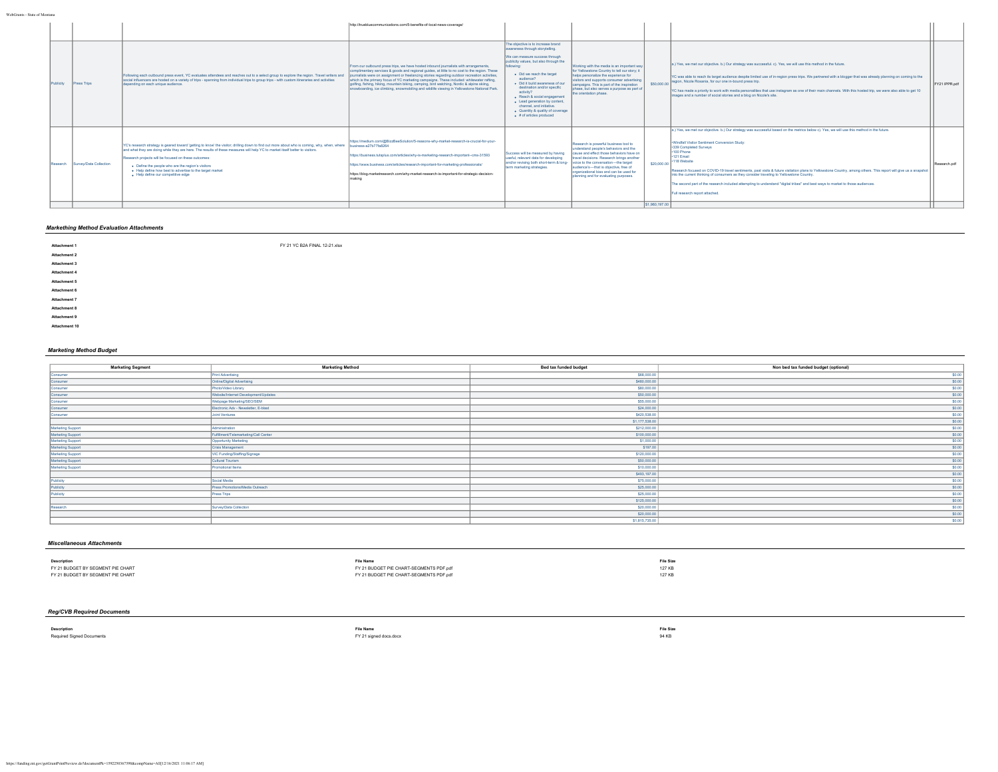|           |          |                        |                                                                                                                                                                                                                                                                                                                                                                                                                                                                                            | http://truebluecommunications.com/5-benefits-of-local-news-coverage/                                                                                                                                                                                                                                                                                                                                                                                                                                                                                                              |                                                                                                                                                                                                                                                                                                                                                                                                                                                |                                                                                                                                                                                                                                                                                                         |                |                                                                                                                                                                                                                                                                                                                                                                                                                                                                                                                                                                                                                                                                                                       |               |
|-----------|----------|------------------------|--------------------------------------------------------------------------------------------------------------------------------------------------------------------------------------------------------------------------------------------------------------------------------------------------------------------------------------------------------------------------------------------------------------------------------------------------------------------------------------------|-----------------------------------------------------------------------------------------------------------------------------------------------------------------------------------------------------------------------------------------------------------------------------------------------------------------------------------------------------------------------------------------------------------------------------------------------------------------------------------------------------------------------------------------------------------------------------------|------------------------------------------------------------------------------------------------------------------------------------------------------------------------------------------------------------------------------------------------------------------------------------------------------------------------------------------------------------------------------------------------------------------------------------------------|---------------------------------------------------------------------------------------------------------------------------------------------------------------------------------------------------------------------------------------------------------------------------------------------------------|----------------|-------------------------------------------------------------------------------------------------------------------------------------------------------------------------------------------------------------------------------------------------------------------------------------------------------------------------------------------------------------------------------------------------------------------------------------------------------------------------------------------------------------------------------------------------------------------------------------------------------------------------------------------------------------------------------------------------------|---------------|
| Publicity |          | <b>Press Trips</b>     | Following each outbound press event, YC evaluates attendees and reaches out to a select group to explore the region. Travel writers and<br>social influencers are hosted on a variety of trips - spanning from individual trips to group trips - with custom itineraries and activities<br>depending on each unique audience.                                                                                                                                                              | From our outbound press trips, we have hosted inbound journalists with arrangements,<br>complimentary services & goods and regional guides, at little to no cost to the region. These<br>journalists were on assignment or freelancing stories regarding outdoor recreation activities,<br>which is the primary focus of YC marketing campaigns. These included: whitewater rafting,<br>golfing, fishing, hiking, mountain biking, camping, bird watching, Nordic & alpine skiing,<br>snowboarding, ice climbing, snowmobiling and wildlife viewing in Yellowstone National Park. | The objective is to increase brand<br>awareness through storytelling.<br>We can measure success through<br>publicity values, but also through the<br>. Did we reach the target<br>audience?<br>. Did it build awareness of our<br>destination and/or specific<br>activity?<br>. Reach & social engagement<br>· Lead generation by content,<br>channel, and initiative.<br>. Quantity & quality of coverage<br>$\bullet$ # of articles produced | Working with the media is an important way<br>for Yellowstone Country to tell our story: it<br>helps personalize the experience for<br>visitors and supports consumer advertising<br>ampaigns. This is part of the inspiration<br>phase, but also serves a purpose as part of<br>the orientation phase. |                | a.) Yes, we met our objective. b.) Our strategy was successful. c). Yes, we will use this method in the future.<br>IYC was able to reach its target audience descite limited use of in-region press trips. We partnered with a blogger that was already planning on coming to the<br>\$50,000.00 region, Nicole Rosania, for our one in-bound press trip.<br>YC has made a priority to work with media personalities that use instagram as one of their main channels. With this hosted trip, we were also able to get 10<br>images and a number of social stories and a blog on Nicole's site.                                                                                                       | FY21 IPPR.pdf |
|           | Research | Survey/Data Collection | YC's research strategy is geared toward 'getting to know' the visitor: drilling down to find out more about who is coming, why, when, where<br>and what they are doing while they are here. The results of these measures will help YC to market itself better to visitors.<br>Research projects will be focused on these outcomes:<br>. Define the people who are the region's visitors<br>. Help define how best to advertise to the target market<br>· Help define our competitive edge | https://medium.com/@BizzBeeSolution/5-reasons-why-market-research-is-crucial-for-vour-<br>business-a27b77fa8264<br>https://business.tutsplus.com/articles/why-is-marketing-research-important--cms-31593<br>https://www.business.com/articles/research-important-for-marketing-professionals/<br>https://blog.marketresearch.com/why-market-research-is-important-for-strategic-decision-                                                                                                                                                                                         | Success will be measured by having<br>useful, relevant data for developing<br>and/or revising both short-term & long- voice to the conversation-the target<br>term marketing strategies.                                                                                                                                                                                                                                                       | Research is powerful business tool to<br>understand people's behaviors and the<br>cause and effect those behaviors have on<br>travel decisions. Research brings another<br>audience's-that is objective, free of<br>organizational bias and can be used for<br>planning and for evaluating purposes.    | \$20,000.00    | a.) Yes, we met our objective. b.) Our strategy was successful based on the metrics below c). Yes, we will use this method in the future.<br>Windfall Visitor Sentiment Conversion Study:<br>-339 Completed Surveys<br>-100 Phone<br>$-121$ Email<br>-118 Website<br>Research focused on COVID-19 travel sentiments, past visits & future visitation plans to Yellowstone Country, among others. This report will give us a snapshot<br>into the current thinking of consumers as they consider traveling to Yellowstone Country.<br>The second part of the research included attempting to understand "digital tribes" and best ways to market to those audiences.<br>Full research report attached. | Research.pdf  |
|           |          |                        |                                                                                                                                                                                                                                                                                                                                                                                                                                                                                            |                                                                                                                                                                                                                                                                                                                                                                                                                                                                                                                                                                                   |                                                                                                                                                                                                                                                                                                                                                                                                                                                |                                                                                                                                                                                                                                                                                                         | \$1,960,197.00 |                                                                                                                                                                                                                                                                                                                                                                                                                                                                                                                                                                                                                                                                                                       |               |

# *Markething Method Evaluation Attachments*

**Attachment 1** [FY 21 YC B2A FINAL 12-21.xlsx](https://funding.mt.gov/fileDownload.jsp?filename=1639675972745_FY+21+YC+B2A+FINAL+12-21.xlsx) **Attachment 2 Attachment 3 Attachment 4 Attachment 5 Attachment 6 Attachment 7 Attachment 8 Attachment 9 Attachment 10** *Marketing Method Budget*

| <b>Marketing Segment</b> | <b>Marketing Method</b>              | Bed tax funded budget | Non bed tax funded budget (optional) |
|--------------------------|--------------------------------------|-----------------------|--------------------------------------|
| Consumer                 | <b>Print Advertising</b>             | \$68,000.00           | \$0.00                               |
| Consumer                 | Online/Digital Advertising           | \$480,000.00          | \$0.00                               |
| Consumer                 | Photo/Video Library                  | \$80,000.00           | \$0.00                               |
| Consumer                 | Website/Internet Development/Updates | \$50,000.00           | \$0.00                               |
| Consumer                 | Webpage Marketing/SEO/SEM            | \$55,000.00           | \$0.00                               |
| Consumer                 | Electronic Adv - Newsletter, E-blast | \$24,000.00           | \$0.00                               |
| Consumer                 | Joint Ventures                       | \$420,538.00          | \$0.00                               |
|                          |                                      | \$1,177,538.00        | \$0.00<br>__                         |
| Marketing Support        | Administration                       | \$212,000.00          | \$0.00                               |
| Marketing Support        | Fulfilment/Telemarketing/Call Center | \$100,000.00          | $\frac{$0.00}{$0.00}$                |
| Marketing Support        | Opportunity Marketing                | \$1,000.00            |                                      |
| Marketing Support        | Crisis Management                    | \$197.00              | \$0.00                               |
| <b>Marketing Support</b> | VIC Funding/Staffing/Signage         | \$120,000.00          | $rac{1}{$0.00}$                      |
| Marketing Support        | Cultural Tourism                     | \$50,000.00           | \$0.00                               |
| <b>Marketing Support</b> | Promotional Items                    | \$10,000.00           | \$0.00                               |
|                          |                                      | \$493,197.00          | \$0.00                               |
| Publicity                | Social Media                         | \$75,000.00           | \$0.00                               |
| Publicity                | Press Promotions/Media Outreach      | \$25,000.00           | \$0.00                               |
| Publicity                | Press Trips                          | \$25,000.00           | \$0.00                               |
|                          |                                      | \$125,000.00          | \$0.00                               |
| Research                 | Survey/Data Collection               | \$20,000.00           | 50.00                                |
|                          |                                      | \$20,000.00           | \$0.00                               |
|                          |                                      | \$1,815,735.00        | \$0.00                               |
|                          |                                      |                       |                                      |

## *Miscellaneous Attachments*

| <b>Description</b>                |                                                                                                                                                            | <b>File Size</b> |
|-----------------------------------|------------------------------------------------------------------------------------------------------------------------------------------------------------|------------------|
| FY 21 BUDGET BY SEGMENT PIE CHART | FY 21 BUDGET PIE CHART-SEGMENTS PDF.pdf                                                                                                                    | <b>127 KB</b>    |
| FY 21 BUDGET BY SEGMENT PIE CHART | FY 21 BUDGET PIE CHART-SEGMENTS PDF.pdf<br>the contract of the contract of the contract of the contract of the contract of the contract of the contract of | 127 Kb           |

# *Reg/CVB Required Documents*

**Description File Name File Size**

Required Signed Documents [FY 21 signed docs.docx](https://funding.mt.gov/fileDownload.jsp?filename=1587485840927_FY+21+signed+docs.docx) 94 KB